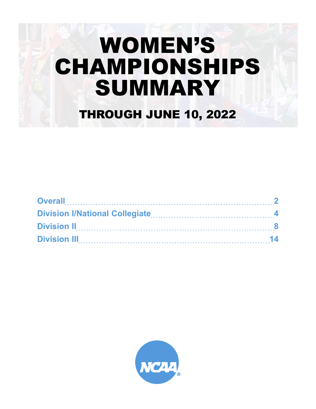# WOMEN'S CHAMPIONSHIPS SUMMARY THROUGH JUNE 10, 2022

| Overall 2 |  |
|-----------|--|
|           |  |
|           |  |
|           |  |

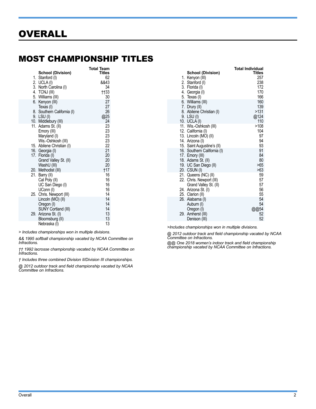## <span id="page-1-0"></span>MOST CHAMPIONSHIP TITLES

| <b>School (Division)</b>             | Total Team<br><b>Titles</b> |
|--------------------------------------|-----------------------------|
| Stanford (I)<br>1.                   | 62                          |
| 2. UCLA (I)<br>3. North Carolina (I) | &&43<br>34                  |
| 4. TCNJ (III)                        | <b>tt33</b>                 |
| 5. Williams (III)                    | 30                          |
| 6.<br>Kenyon (III)                   | 27                          |
| Texas (I)                            | 27                          |
| 8. Southern California (I)           | 26                          |
| 9. LSU (I)                           | @25                         |
| 10. Middlebury (III)                 | 24                          |
| 11. Adams St. (II)                   | 23<br>23                    |
| Emory (III)<br>Maryland (I)          | 23                          |
| Wis.-Oshkosh (III)                   | 23                          |
| 15. Abilene Christian (I)            | 22                          |
| 16. Georgia (I)                      | 21                          |
| 17. Florida (I)                      | 20                          |
| Grand Valley St. (II)                | 20                          |
| WashU (III)                          | 20                          |
| 20. Methodist (III)                  | †17                         |
| Barry (II)<br>21.                    | 16<br>16                    |
| Cal Poly (II)<br>UC San Diego (I)    | 16                          |
| UConn (I)                            | 16                          |
| 25. Chris. Newport (III)             | 14                          |
| Lincoln (MO) (II)                    | 14                          |
| Oregon (I)                           | 14                          |
| SUNY Cortland (III)                  | 14                          |
| 29.<br>Arizona St. (I)               | 13                          |
| Bloomsburg (II)                      | 13                          |
| Nebraska (I)                         | 13                          |

*> Includes championships won in multiple divisions.*

*&& 1995 softball championship vacated by NCAA Committee on Infractions.*

*†† 1992 lacrosse championship vacated by NCAA Committee on Infractions.*

*† Includes three combined Division II/Division III championships.*

*@ 2012 outdoor track and field championship vacated by NCAA Committee on Infractions.*

|                                           | Total Individual |
|-------------------------------------------|------------------|
| <b>School (Division)</b>                  | Titles           |
| Kenyon (III)<br>1.                        | 257              |
| 2. Stanford (I)                           | 238              |
| 3. Florida (I)                            | 172              |
| 4. Georgia (I)                            | 170              |
| 5. Texas (I)                              | 166<br>160       |
| 6. Williams (III)                         | 139              |
| 7. Drury (II)<br>8. Abilene Christian (I) | >131             |
| 9. LSU (I)                                | @124             |
| 10. UCLA (I)                              | 110              |
| 11. Wis.-Oshkosh (III)                    | >108             |
| 12. California (I)                        | 104              |
| 13. Lincoln (MO) (II)                     | 97               |
| 14. Arizona (I)                           | 94               |
| 15. Saint Augustine's (II)                | 93               |
| 16. Southern California (I)               | 91               |
| 17. Emory (III)                           | 84               |
| 18. Adams St. (II)                        | 80               |
| 19. UC San Diego (II)                     | >65              |
| 20. CSUN (I)                              | >63              |
| 21. Queens (NC) (II)                      | 59               |
| 22. Chris. Newport (III)                  | 57               |
| Grand Valley St. (II)                     | 57               |
| 24. Arizona St. (I)                       | 56               |
| 25. Clarion (II)                          | 55               |
| 26.<br>Alabama (I)                        | 54               |
| Auburn (I)                                | 54               |
| Oregon (I)                                | @@54             |
| Amherst (III)<br>29.                      | 52<br>52         |
| Denison (III)                             |                  |

*>Includes championships won in multiple divisions.*

*@ 2012 outdoor track and field championship vacated by NCAA Committee on Infractions.*

*@@ One 2018 women's indoor track and field championship championship vacated by NCAA Committee on Infractions.*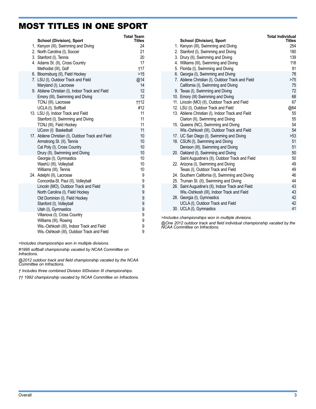### MOST TITLES IN ONE SPORT

| <b>School (Division), Sport</b>                    | <b>Total Team</b><br>Titles |
|----------------------------------------------------|-----------------------------|
| 1. Kenyon (III), Swimming and Diving               | 24                          |
| 2. North Carolina (I), Soccer                      | 21                          |
| 3. Stanford (I), Tennis                            | 20                          |
| 4. Adams St. (II), Cross Country                   | 17                          |
| Methodist (III), Golf                              | †17                         |
| 6. Bloomsburg (II), Field Hockey                   | >15                         |
| 7. LSU (I), Outdoor Track and Field                | @14                         |
| Maryland (I), Lacrosse                             | 14                          |
| 9. Abilene Christian (I), Indoor Track and Field   | 12                          |
| Emory (III), Swimming and Diving                   | 12                          |
| TCNJ (III), Lacrosse                               | <b>tt12</b>                 |
| UCLA (I), Softball                                 | #12                         |
| 13. LSU (I), Indoor Track and Field                | 11<br>11                    |
| Stanford (I), Swimming and Diving                  | 11                          |
| TCNJ (III), Field Hockey<br>UConn (I) Basketball   | 11                          |
| 17. Abilene Christian (I), Outdoor Track and Field | 10                          |
| Armstrong St. (II), Tennis                         | 10                          |
| Cal Poly (I), Cross Country                        | 10 <sup>1</sup>             |
| Drury (II), Swimming and Diving                    | 10 <sup>1</sup>             |
| Georgia (I), Gymnastics                            | 10                          |
| WashU (III), Volleyball                            | 10                          |
| Williams (III), Tennis                             | 10                          |
| 24. Adelphi (II), Lacrosse                         | 9                           |
| Concordia-St. Paul (II), Volleyball                | 9                           |
| Lincoln (MO), Outdoor Track and Field              | 9                           |
| North Carolina (I), Field Hockey                   | 9                           |
| Old Dominion (I), Field Hockey                     | 9                           |
| Stanford (I), Volleyball                           | 9                           |
| Utah (I), Gymnastics                               | 9                           |
| Villanova (I), Cross Country                       | 9                           |
| Williams (III), Rowing                             | 9                           |
| Wis.-Oshkosh (III), Indoor Track and Field         | 9                           |
| Wis.-Oshkosh (III), Outdoor Track and Field        | 9                           |

*>Includes championships won in multiple divisions.*

*#1995 softball championship vacated by NCAA Committee on Infractions.*

*@2012 outdoor track and field championship vacated by the NCAA Committee on Infractions.* 

*† Includes three combined Division II/Division III championships.*

*†† 1992 championship vacated by NCAA Committee on Infractions.*

|                                                    | <b>Total Individual</b> |
|----------------------------------------------------|-------------------------|
| <b>School (Division), Sport</b>                    | <b>Titles</b>           |
| 1. Kenyon (III), Swimming and Diving               | 254                     |
| 2. Stanford (I), Swimming and Diving               | 180                     |
| 3. Drury (II), Swimming and Diving                 | 139                     |
| 4. Williams (III), Swimming and Diving             | 118                     |
| 5. Florida (I), Swimming and Diving                | 91                      |
| 6. Georgia (I), Swimming and Diving                | 78                      |
| 7. Abilene Christian (I), Outdoor Track and Field  | $>75$                   |
| California (I), Swimming and Diving                | 75                      |
| 9. Texas (I), Swimming and Diving                  | 72                      |
| 10. Emory (III) Swimming and Diving                | 68                      |
| 11. Lincoln (MO) (II), Outdoor Track and Field     | 67                      |
| 12. LSU (I), Outdoor Track and Field               | @64                     |
| 13. Abilene Christian (I), Indoor Track and Field  | 55                      |
| Clarion (II), Swimming and Diving                  | 55                      |
| 15. Queens (NC), Swimming and Diving               | 54                      |
| Wis.-Oshkosh (III), Outdoor Track and Field        | 54                      |
| 17. UC San Diego (I), Swimming and Diving          | >53                     |
| 18. CSUN (I), Swimming and Diving                  | 51                      |
| Denison (III), Swimming and Diving                 | 51                      |
| 20. Oakland (I), Swimming and Diving               | 50                      |
| Saint Augustine's (II), Outdoor Track and Field    | 50                      |
| 22. Arizona (I), Swimming and Diving               | 49                      |
| Texas (I), Outdoor Track and Field                 | 49                      |
| 24. Southern California (I), Swimming and Diving   | 46                      |
| 25. Truman St. (II), Swimming and Diving           | 44                      |
| 26. Saint Augustine's (II), Indoor Track and Field | 43                      |
| Wis.-Oshkosh (III), Indoor Track and Field         | 43                      |
| 28. Georgia (I), Gymnastics                        | 42                      |
| UCLA (I), Outdoor Track and Field                  | 42                      |
| 30. UCLA (I), Gymnastics                           | 41                      |

*>Includes championships won in multiple divisions.*

*@One 2012 outdoor track and field individual championship vacated by the NCAA Committee on Infractions.*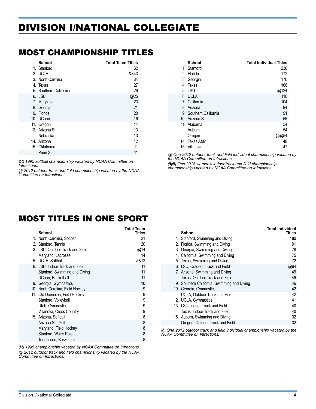# <span id="page-3-0"></span>DIVISION I/NATIONAL COLLEGIATE

### MOST CHAMPIONSHIP TITLES

| <b>School</b>          | <b>Total Team Titles</b> |
|------------------------|--------------------------|
| 1. Stanford            | 62                       |
| 2. UCLA                | &&43                     |
| 3. North Carolina      | 34                       |
| 4. Texas               | 27                       |
| 5. Southern California | 26                       |
| 6. LSU                 | @25                      |
| 7. Maryland            | 23                       |
| 8. Georgia             | 21                       |
| 9. Florida             | 20                       |
| 10. UConn              | 16                       |
| 11. Oregon             | 14                       |
| 12. Arizona St.        | 13                       |
| Nebraska               | 13                       |
| 14. Arizona            | 12                       |
| 15. Oklahoma           | 11                       |
| Penn St.               | 11                       |

*&& 1995 softball championship vacated by NCAA Committee on Infractions.*

*@ 2012 outdoor track and field championship vacated by the NCAA Committee on Infractions.* 

| School                 | <b>Total Individual Titles</b> |
|------------------------|--------------------------------|
| 1. Stanford            | 238                            |
| 2. Florida             | 172                            |
| 3. Georgia             | 170                            |
| 4. Texas               | 166                            |
| 5. LSU                 | @124                           |
| 6. UCLA                | 110                            |
| 7. California          | 104                            |
| 8. Arizona             | 94                             |
| 9. Southern California | 91                             |
| 10. Arizona St.        | 56                             |
| 11. Alabama            | 54                             |
| Auburn                 | 54                             |
| Oregon                 |                                |
| 14. Texas A&M          | 48                             |
| 15. Villanova          | 47                             |

*@ One 2012 outdoor track and field individual championship vacated by the NCAA Committee on Infractions.*

*@@ One 2018 women's indoor track and field championship championship vacated by NCAA Committee on Infractions.* 

### MOST TITLES IN ONE SPORT

| <b>School</b>         |                                  | Total Team<br><b>Titles</b> |
|-----------------------|----------------------------------|-----------------------------|
|                       | 1. North Carolina, Soccer        | 21                          |
| 2. Stanford, Tennis   |                                  | 20                          |
|                       | 3. LSU, Outdoor Track and Field  | @14                         |
|                       | Maryland, Lacrosse               | 14                          |
| 5. UCLA, Softball     |                                  | &&12                        |
|                       | 6. LSU, Indoor Track and Field   | 11                          |
|                       | Stanford, Swimming and Diving    | 11                          |
|                       | . UConn, Basketball              | 11                          |
|                       | 9. Georgia, Gymnastics           | 10                          |
|                       | 10. North Carolina, Field Hockey | 9                           |
|                       | 11. Old Dominion, Field Hockey   | 9                           |
|                       | Stanford, Volleyball             | 9                           |
|                       | Utah, Gymnastics                 | 9                           |
|                       | Villanova, Cross Country         | 9                           |
| 15. Arizona, Softball |                                  | 8                           |
|                       | Arizona St., Golf                | 8                           |
|                       | Maryland, Field Hockey           | 8                           |
|                       | Stanford, Water Polo             | 8                           |
|                       | Tennessee, Basketball            | 8                           |

*&& 1995 championship vacated by NCAA Committee on Infractions. @ 2012 outdoor track and field championship vacated by the NCAA Committee on Infractions.* 

|                                             | <b>Total Individual</b> |
|---------------------------------------------|-------------------------|
| <b>School</b>                               | Titles                  |
| 1. Stanford, Swimming and Diving            | 180                     |
| 2. Florida, Swimming and Diving             | 91                      |
| 3. Georgia, Swimming and Diving             | 78                      |
| 4. California, Swimming and Diving          | 75                      |
| 5. Texas, Swimming and Diving               | 72                      |
| 6. LSU, Outdoor Track and Field             | @64                     |
| 7. Arizona, Swimming and Diving             | 49                      |
| Texas, Outdoor Track and Field              | 49                      |
| 9. Southern California, Swimming and Diving | 46                      |
| 10. Georgia, Gymnastics                     | 42                      |
| UCLA, Outdoor Track and Field               | 42                      |
| 12. UCLA, Gymnastics                        | 41                      |
| 13. LSU, Indoor Track and Field             | 40                      |
| Texas, Indoor Track and Field               | 40                      |
| 15. Auburn, Swimming and Diving             | 32                      |
| Oregon, Outdoor Track and Field             | 32                      |

*@ One 2012 outdoor track and field individual championship vacated by the NCAA Committee on Infractions.*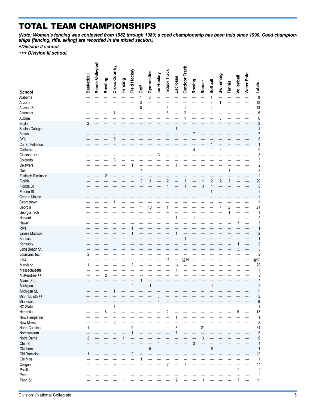# TOTAL TEAM CHAMPIONSHIPS

 $=$ 

*(Note: Women's fencing was contested from 1982 through 1989; a coed championship has been held since 1990. Coed championships [fencing, rifle, skiing] are recorded in the mixed section.)*

*+Division II school.*

*+++ Division III school.*

|                                | Basketball     | Beach Volleyball | Bowling        | Cross Country  | Fencing | Field Hockey | Golf                    | Gymnastics       | Ice Hockey | Indoor Track    | Lacrosse       | Outdoor Track | Rowing | Soccer | Softball       | Swimming                | <b>Tennis</b>  | Volleyball     | Water Polo | <b>Totals</b>           |
|--------------------------------|----------------|------------------|----------------|----------------|---------|--------------|-------------------------|------------------|------------|-----------------|----------------|---------------|--------|--------|----------------|-------------------------|----------------|----------------|------------|-------------------------|
| <b>School</b>                  |                |                  |                |                |         |              |                         |                  |            |                 |                |               |        |        |                |                         |                |                |            |                         |
| Alabama                        |                |                  |                |                |         |              | 1                       | $\boldsymbol{6}$ |            |                 |                |               |        |        | 1              |                         |                |                |            | 8                       |
| Arizona                        |                |                  |                |                |         |              | 3                       |                  |            |                 |                |               |        |        | 8<br>2         | 1                       |                |                |            | 12<br>13                |
| Arizona St.<br>Arkansas        |                |                  |                |                |         |              |                         |                  |            | $\sqrt{2}$<br>3 |                | 2             |        |        |                |                         |                |                |            | 6                       |
| Auburn                         |                |                  |                |                |         |              |                         |                  |            |                 |                |               |        |        |                | 5                       |                |                |            | 6                       |
| Baylor                         | 3              |                  |                |                |         |              |                         |                  |            |                 |                |               |        |        |                |                         |                |                |            | 3                       |
| <b>Boston College</b>          |                |                  |                |                |         |              |                         |                  |            |                 |                |               |        |        |                |                         |                |                |            | 1                       |
| Brown                          |                |                  |                |                |         |              |                         |                  |            |                 |                |               |        |        |                |                         |                |                |            | 7                       |
| <b>BYU</b>                     |                |                  |                | 5              |         |              |                         |                  |            |                 |                |               |        |        |                |                         |                |                |            | 5                       |
| Cal St. Fullerton              |                |                  |                |                |         |              |                         |                  |            |                 |                |               |        |        |                |                         |                |                |            |                         |
| California                     |                |                  |                |                |         |              |                         |                  |            |                 |                |               | 4      |        |                | 4                       |                |                |            | 9                       |
| Clarkson +++                   |                |                  |                |                |         |              |                         |                  |            |                 |                |               |        |        |                |                         |                |                |            | 3                       |
| Colorado                       |                |                  |                | 3              |         |              |                         |                  |            |                 |                |               |        |        |                |                         |                |                |            | 3                       |
| Delaware                       |                |                  |                |                |         |              |                         |                  |            |                 |                |               |        |        |                |                         |                |                |            | 2                       |
| Duke                           |                |                  | $\overline{c}$ |                |         |              |                         |                  |            |                 |                |               |        |        |                |                         |                |                |            | 8                       |
| Fairleigh Dickinson<br>Florida |                |                  |                |                |         |              | $\overline{\mathbf{c}}$ | 3                |            | $\overline{c}$  |                |               |        | 1      | $\sqrt{2}$     | $\overline{\mathbf{c}}$ | 7              |                |            | $\overline{c}$<br>20    |
| Florida St.                    |                |                  |                |                |         |              |                         |                  |            | 1               |                |               |        | 3      | 1              |                         |                |                |            | 6                       |
| Fresno St.                     |                |                  |                |                |         |              |                         |                  |            |                 |                |               |        |        |                |                         |                |                |            | 1                       |
| George Mason                   |                |                  |                |                |         |              |                         |                  |            |                 |                |               |        |        |                |                         |                |                |            |                         |
| Georgetown                     |                |                  |                |                |         |              |                         |                  |            |                 |                |               |        |        |                |                         |                |                |            | 1                       |
| Georgia                        |                |                  |                |                |         |              |                         | 10               |            |                 |                |               |        |        |                | $\overline{7}$          | $\overline{c}$ |                |            | 21                      |
| Georgia Tech                   |                |                  |                |                |         |              |                         |                  |            |                 |                |               |        |        |                |                         |                |                |            | 1                       |
| Harvard                        |                |                  |                |                |         |              |                         |                  |            |                 | 1              |               |        |        |                |                         |                |                |            | $\overline{c}$          |
| Hawaii                         |                |                  |                |                |         |              |                         |                  |            |                 |                |               |        |        |                |                         |                | 3              |            | 3                       |
| lowa                           |                |                  |                |                |         |              |                         |                  |            |                 |                |               |        |        |                |                         |                |                |            |                         |
| James Madison                  |                |                  |                |                |         |              |                         |                  |            |                 |                |               |        |        |                |                         |                |                |            | $\overline{c}$          |
| Kansas                         |                |                  |                |                |         |              |                         |                  |            |                 |                |               |        |        |                |                         |                |                |            |                         |
| Kentucky<br>Long Beach St.     |                |                  |                |                |         |              |                         |                  |            |                 |                |               |        |        |                |                         |                | 3              |            | $\overline{2}$<br>3     |
| Louisiana Tech                 | 2              |                  |                |                |         |              |                         |                  |            |                 |                |               |        |        |                |                         |                |                |            | $\overline{2}$          |
| LSU                            |                |                  |                |                |         |              |                         |                  |            | 11              |                | @14           |        |        |                |                         |                |                |            | @25                     |
| Maryland                       |                |                  |                |                |         | 8            |                         |                  |            |                 | 14             |               |        |        |                |                         |                |                |            | 23                      |
| Massachusetts                  |                |                  |                |                |         |              |                         |                  |            |                 |                |               |        |        |                |                         |                |                |            | 1                       |
| McKendree ++                   |                |                  | $\overline{c}$ |                |         |              |                         |                  |            |                 |                |               |        |        |                |                         |                |                |            | $\overline{2}$          |
| Miami (FL)                     |                |                  |                |                |         |              |                         |                  |            |                 |                |               |        |        |                |                         |                |                |            |                         |
| Michigan                       |                |                  |                |                |         |              |                         |                  |            |                 |                |               |        |        |                |                         |                |                |            | 3                       |
| Michigan St.                   |                |                  |                |                |         |              |                         |                  |            |                 |                |               |        |        |                |                         |                |                |            | 1                       |
| Minn. Duluth ++                |                |                  |                |                |         |              |                         |                  | 5          |                 |                |               |        |        |                |                         |                |                |            | 5                       |
| Minnesota                      |                |                  |                |                |         |              |                         |                  | 6          |                 |                |               |        |        |                |                         |                |                |            | 6                       |
| <b>NC State</b><br>Nebraska    |                |                  | 6              |                |         |              |                         |                  |            | $\sqrt{2}$      |                |               |        |        |                |                         |                | 5              |            | 1<br>13                 |
| New Hampshire                  |                |                  |                |                |         |              |                         |                  |            |                 |                |               |        |        |                |                         |                |                |            | 1                       |
| New Mexico                     |                |                  |                | $\overline{2}$ |         |              |                         |                  |            |                 |                |               |        |        |                |                         |                |                |            | $\overline{c}$          |
| North Carolina                 | 1              |                  |                |                |         | 9            |                         |                  |            |                 | 3              |               |        | 21     |                |                         |                |                |            | 34                      |
| Northwestern                   |                |                  |                |                |         |              |                         |                  |            |                 |                |               |        |        |                |                         |                |                |            | 8                       |
| Notre Dame                     | $\overline{2}$ |                  |                |                |         |              |                         |                  |            |                 |                |               |        | 3      |                |                         |                |                |            | 6                       |
| Ohio St.                       |                |                  |                |                |         |              |                         |                  |            |                 |                |               | 3      |        |                |                         |                |                |            | 4                       |
| Oklahoma                       |                |                  |                |                |         |              |                         | 5                |            |                 |                |               |        |        | $6\phantom{a}$ |                         |                |                |            | 11                      |
| Old Dominion                   |                |                  |                |                |         | 9            |                         |                  |            |                 |                |               |        |        |                |                         |                |                |            | 10                      |
| Ole Miss                       |                |                  |                |                |         |              |                         |                  |            |                 |                |               |        |        |                |                         |                |                |            | 1                       |
| Oregon                         |                |                  |                | 4              |         |              |                         |                  |            | $\overline{7}$  |                | 3             |        |        |                |                         |                |                |            | 14                      |
| Pacific                        |                |                  |                |                |         |              |                         |                  |            |                 |                |               |        |        |                |                         |                | 2              |            | $\overline{\mathbf{c}}$ |
| Penn                           |                |                  |                |                |         |              |                         |                  |            |                 |                |               |        |        |                |                         |                |                |            | 1                       |
| Penn St.                       |                |                  |                |                | 1       |              |                         |                  |            |                 | $\overline{2}$ |               |        |        |                |                         |                | $\overline{7}$ |            | 11                      |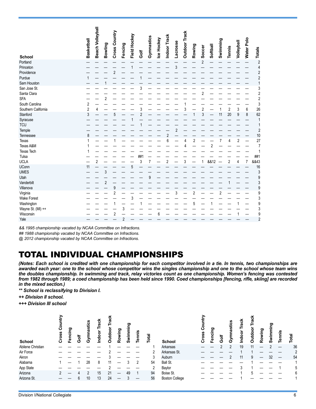| <b>School</b>       | <b>Basketball</b> | Beach Volleybal | Bowling        | Cross Country | Fencing        | Field Hockey | Golf | Gymnastics | Ice Hockey | Indoor Track | Lacrosse       | <b>Outdoor Track</b> | Rowing         | Soccer         | Softball       | Swimming       | <b>Tennis</b>  | Volleyball     | Water Polo | Totals         |
|---------------------|-------------------|-----------------|----------------|---------------|----------------|--------------|------|------------|------------|--------------|----------------|----------------------|----------------|----------------|----------------|----------------|----------------|----------------|------------|----------------|
| Portland            |                   |                 |                |               |                |              |      |            |            |              |                |                      |                | $\overline{2}$ |                |                |                |                |            | $\overline{c}$ |
| Princeton           |                   |                 |                |               |                |              |      |            |            |              | $\mathfrak{z}$ |                      |                |                |                |                |                |                |            | 4              |
| Providence          |                   |                 |                | 2             |                |              |      |            |            |              |                |                      |                |                |                |                |                |                |            | $\overline{c}$ |
| Purdue              |                   |                 |                |               |                |              |      |            |            |              |                |                      |                |                |                |                |                |                |            | $\overline{c}$ |
| Sam Houston         |                   |                 |                |               |                |              |      |            |            |              |                |                      |                |                |                |                |                |                |            | $\mathbf{1}$   |
| San Jose St.        |                   |                 |                |               |                |              | 3    |            |            |              |                |                      |                |                |                |                |                |                |            | 3              |
| Santa Clara         |                   |                 |                |               |                |              |      |            |            |              |                |                      |                | 2              |                |                |                |                |            | $\overline{c}$ |
| <b>SFA</b>          |                   |                 | $\overline{2}$ |               |                |              |      |            |            |              |                |                      |                |                |                |                |                |                |            | $\overline{c}$ |
| South Carolina      | 2                 |                 |                |               |                |              |      |            |            |              |                |                      |                |                |                |                |                |                |            | 3              |
| Southern California | $\overline{2}$    | 4               |                |               |                |              | 3    |            |            |              |                |                      |                | $\overline{2}$ |                | 1              | $\overline{c}$ | 3              | 6          | 26             |
| Stanford            | 3                 |                 |                | 5             |                |              | 2    |            |            |              |                |                      |                | 3              |                | 11             | 20             | 9              | 8          | 62             |
| Syracuse            |                   |                 |                |               |                |              |      |            |            |              |                |                      |                |                |                |                |                |                |            | 1              |
| <b>TCU</b>          |                   |                 |                |               |                |              |      |            |            |              |                |                      |                |                |                |                |                |                |            | 1              |
| Temple              |                   |                 |                |               |                |              |      |            |            |              | $\overline{2}$ |                      |                |                |                |                |                |                |            | $\overline{c}$ |
| Tennessee           | 8                 |                 |                |               |                |              |      |            |            | 2            |                |                      |                |                |                |                |                |                |            | 10             |
| Texas               |                   |                 |                |               |                |              |      |            |            | 6            |                | Δ                    | $\overline{2}$ |                |                | 7              | Δ              | $\overline{2}$ |            | 27             |
| Texas A&M           |                   |                 |                |               |                |              |      |            |            |              |                |                      |                |                | $\overline{c}$ |                |                |                |            | $\overline{7}$ |
| <b>Texas Tech</b>   |                   |                 |                |               |                |              |      |            |            |              |                |                      |                |                |                |                |                |                |            | 1              |
| Tulsa               |                   |                 |                |               |                |              | ##   |            |            |              |                |                      |                |                |                |                |                |                |            | ##1            |
| <b>UCLA</b>         |                   | 2               |                |               |                |              | 3    | 7          |            | 2            |                | 3                    |                | 1              | &&12           |                | 2              | 4              | 7          | &&43           |
| <b>UConn</b>        | 11                |                 |                |               |                |              |      |            |            |              |                |                      |                |                |                |                |                |                |            | 16             |
| <b>UMES</b>         |                   |                 | 3              |               |                |              |      |            |            |              |                |                      |                |                |                |                |                |                |            | 3              |
| Utah                |                   |                 |                |               |                |              |      | 9          |            |              |                |                      |                |                |                |                |                |                |            | 9              |
| Vanderbilt          |                   |                 | $\overline{2}$ |               |                |              |      |            |            |              |                |                      |                |                |                |                |                |                |            | 3              |
| Villanova           |                   |                 |                | 9             |                |              |      |            |            |              |                |                      |                |                |                |                |                |                |            | 9              |
| Virginia            |                   |                 |                | 2             |                |              |      |            |            |              | 3              |                      | $\overline{2}$ |                |                | $\overline{2}$ |                |                |            | 9              |
| <b>Wake Forest</b>  |                   |                 |                |               |                | 3            |      |            |            |              |                |                      |                |                |                |                |                |                |            | 3              |
| Washington          |                   |                 |                |               |                |              |      |            |            |              |                |                      | 5              |                |                |                |                |                |            | 9              |
| Wayne St. (MI) ++   |                   |                 |                |               | 3              |              |      |            |            |              |                |                      |                |                |                |                |                |                |            | 3              |
| Wisconsin           |                   |                 |                | 2             |                |              |      |            |            |              |                |                      |                |                |                |                |                |                |            | 9              |
| Yale                |                   |                 |                |               | $\overline{2}$ |              |      |            |            |              |                |                      |                |                |                |                |                |                |            | $\overline{c}$ |

*&& 1995 championship vacated by NCAA Committee on Infractions.*

*## 1988 championship vacated by NCAA Committee on Infractions.*

*@ 2012 championship vacated by NCAA Committee on Infractions.*

# TOTAL INDIVIDUAL CHAMPIONSHIPS

*(Notes: Each school is credited with one championship for each competitor involved in a tie. In tennis, two championships are awarded each year: one to the school whose competitor wins the singles championship and one to the school whose team wins the doubles championship. In swimming and track, relay victories count as one championship. Women's fencing was contested from 1982 through 1989; a coed championship has been held since 1990. Coed championships [fencing, rifle, skiing] are recorded in the mixed section.)*

*\*\* School is reclassifying to Division I.* 

*++ Division II school.*

*+++ Division III school*

| School            | <b>SSS</b><br>ō | ဥာ<br>Fenci | ទី         | astics<br>ී | ပ<br>ndoo | o<br>ğ | wing<br>ō<br>œ | ರಾ<br>ທ | Tennis | Total | School                | ross<br>ō | ల్లా<br>َت<br>ج<br>س | ទី | <b>nastics</b><br>ගි | š<br>ℼ<br>E.<br>Indool | ॿ<br>o | ဥ | ರಾ | <u>ein</u><br>ω | Total |
|-------------------|-----------------|-------------|------------|-------------|-----------|--------|----------------|---------|--------|-------|-----------------------|-----------|----------------------|----|----------------------|------------------------|--------|---|----|-----------------|-------|
| Abilene Christian |                 |             |            |             |           |        |                |         |        |       | Arkansas              |           |                      |    |                      | 19                     | 11     |   |    |                 | 36    |
| Air Force         |                 |             |            |             |           |        |                |         |        | 2     | Arkansas St.          |           |                      |    |                      |                        |        |   |    |                 |       |
| Akron             |                 |             |            |             |           |        |                |         |        | 3     | Auburn                |           |                      |    |                      | 11                     |        |   | 32 |                 | 54    |
| Alabama           |                 |             |            | 28          | 8         |        |                |         | າ      | 54    | Ball St.              |           |                      |    |                      |                        |        |   |    |                 |       |
| App State         |                 |             |            |             |           |        |                |         |        | ŋ     | Baylor                |           |                      |    |                      |                        |        |   |    |                 |       |
| Arizona           | ∩               |             |            |             | 15        | 21     |                | 49      |        | 94    | Boise St.             |           |                      |    |                      |                        |        |   |    |                 |       |
| Arizona St.       |                 |             | $\sqrt{2}$ | 10          | 13        | 24     |                |         |        | 56    | <b>Boston College</b> |           |                      |    |                      |                        |        |   |    |                 |       |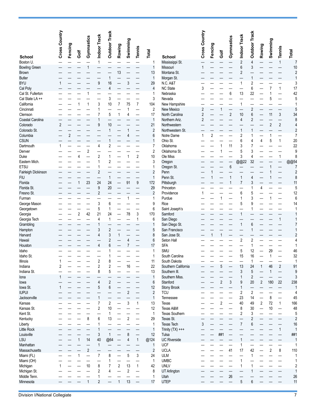|                            | Cross Country | Fencing | Golf | Gymnastics | Indoor Track            | <b>Outdoor Track</b>    | Rowing         | Swimming       | <b>Tennis</b>            | <b>Total</b>        |                             | Cross Country           | Fencing        | Golf           | Gymnastics     | Indoor Track   | <b>Outdoor Track</b> | Rowing         | Swimming       | <b>Tennis</b>     | Total                    |
|----------------------------|---------------|---------|------|------------|-------------------------|-------------------------|----------------|----------------|--------------------------|---------------------|-----------------------------|-------------------------|----------------|----------------|----------------|----------------|----------------------|----------------|----------------|-------------------|--------------------------|
| <b>School</b><br>Boston U. |               |         |      |            |                         |                         |                |                |                          |                     | <b>School</b>               |                         |                |                |                | $\overline{2}$ | $\overline{4}$       |                |                |                   |                          |
| <b>Bowling Green</b>       |               |         |      |            | 1                       |                         |                |                |                          | 1<br>1              | Mississippi St.<br>Missouri | 1                       |                |                |                | 6              | 3                    |                |                | 1                 | $\overline{7}$<br>10     |
| Brown                      |               |         |      |            |                         |                         | 13             |                |                          | 13                  | Montana St.                 |                         |                |                |                | $\overline{c}$ |                      |                |                |                   | $\overline{c}$           |
| <b>Butler</b>              |               |         |      |            |                         | 1                       |                |                |                          | $\mathbf{1}$        | Morgan St.                  |                         |                |                |                |                |                      |                |                |                   | $\overline{1}$           |
| <b>BYU</b>                 | 1             |         |      |            | 9                       | 16                      |                | 3              |                          | 29                  | N.C. A&T                    |                         |                |                |                | 1              | $\overline{2}$       |                |                |                   | 3                        |
| Cal Poly                   |               |         |      |            |                         | 4                       |                |                |                          | $\overline{4}$      | <b>NC State</b>             | 3                       |                |                |                |                | 6                    |                |                | $\mathbf{1}$      | 17                       |
| Cal St. Fullerton          |               |         |      |            |                         |                         |                |                |                          | 1                   | Nebraska                    |                         |                |                | 6              | 13             | 22                   |                |                |                   | 42                       |
| Cal State LA++             |               |         |      |            |                         | 3                       |                |                |                          | 3                   | Nevada                      |                         |                |                |                |                |                      |                | 5              |                   | 5                        |
| California                 |               |         |      | 1          | 3                       | 10                      | 7              | 75             | $\overline{7}$           | 104                 | New Hampshire               |                         |                |                |                | 1              |                      |                |                |                   | $\mathbf{1}$             |
| Cincinnati                 |               |         |      |            |                         |                         |                | 1              |                          | $\overline{c}$      | New Mexico                  | $\overline{\mathbf{c}}$ |                |                |                |                | 2                    |                |                |                   | 5                        |
| Clemson                    |               |         |      |            |                         | 5                       | 1              | $\overline{4}$ |                          | 17                  | North Carolina              | $\overline{c}$          |                |                | $\overline{2}$ | 10             | 6                    |                | 11             | 3                 | 34                       |
| Coastal Carolina           |               |         |      |            |                         |                         |                |                |                          | $\mathbf{1}$        | Northern Ariz.              | $\overline{2}$          |                |                |                | 4              | $\overline{2}$       |                |                |                   | 8                        |
| Colorado                   | 2             |         |      |            | 9                       | 10                      |                |                |                          | 21                  | Northwestern                |                         |                |                |                |                |                      |                | $\overline{2}$ | 2                 | $\overline{\mathcal{L}}$ |
| Colorado St.               |               |         |      |            |                         | $\mathbf{1}$            |                |                |                          | $\overline{2}$      | Northwestern St.            |                         |                |                |                |                |                      |                |                |                   | $\overline{c}$           |
| Columbia                   |               | 2       |      |            |                         |                         |                |                |                          | 6                   | Notre Dame                  | 1                       | $\overline{2}$ |                |                | 2              |                      |                | 1              |                   | $\overline{7}$           |
| <b>CSUN</b>                |               |         |      |            |                         | 1                       |                |                |                          | 1                   | Ohio St.                    |                         |                |                |                | 6              | 4                    | 4              | 5              | $\mathbf{1}$      | 20                       |
| Dartmouth                  | 1             |         |      |            | 4                       | $\overline{2}$          |                |                |                          | $\overline{7}$      | Oklahoma                    |                         |                |                | 11             | 3              |                      |                |                |                   | 22                       |
| Denver                     |               |         |      | 2          |                         |                         |                |                |                          | $\overline{c}$      | Oklahoma St.                |                         |                |                |                | 5              | 3                    |                |                |                   | 9                        |
| Duke                       |               |         | 4    |            | 2                       | 1                       |                | 1              | $\sqrt{2}$               | 10                  | Ole Miss                    |                         |                |                |                | 3              | 4                    |                |                | 1                 | 8                        |
| Eastern Mich.              |               |         |      |            |                         | 2                       |                |                |                          | 3                   | Oregon                      |                         |                |                |                | @@22           | 32                   |                |                |                   | @@54                     |
| <b>ETSU</b>                |               |         |      |            |                         |                         |                |                |                          | 1                   | Oregon St.                  |                         |                |                | 6              |                |                      |                |                |                   | $\overline{7}$           |
| Fairleigh Dickinson        |               |         |      |            | $\overline{2}$          |                         |                |                |                          | $\overline{2}$      | Penn                        |                         |                |                |                |                |                      |                |                |                   | $\overline{c}$           |
| <b>FIU</b>                 |               |         |      |            |                         | $\mathbf{1}$            |                |                |                          | 1                   | Penn St.                    |                         |                |                |                | 1              | 4                    |                |                |                   | 8                        |
| Florida                    |               |         |      | 23         | 24                      | 24                      |                | 91             | 9                        | 172                 | Pittsburgh                  |                         |                |                | 1              | 7              | 3                    |                |                |                   | 11                       |
| Florida St.                |               |         |      |            | 9                       | 20                      |                |                |                          | 29                  | Princeton                   |                         |                |                |                |                |                      | Δ              |                |                   | 5                        |
| Fresno St.                 |               |         |      |            | $\overline{2}$          |                         |                |                |                          | $\overline{2}$<br>1 | Providence<br>Purdue        | 1                       |                |                |                | 6<br>1         | 5<br>3               |                |                |                   | 12<br>6                  |
| Furman<br>George Mason     |               |         |      |            | 3                       | 6                       |                |                |                          | 9                   | Rice                        |                         |                |                |                | 5              | 9                    |                |                |                   | 14                       |
| Georgetown                 |               |         |      |            | 5                       | 1                       |                |                |                          | 6                   | Saint Joseph's              |                         |                |                |                |                |                      |                |                |                   | $\mathbf{1}$             |
| Georgia                    |               |         | 2    | 42         | 21                      | 24                      |                | 78             | 3                        | 170                 | Samford                     |                         |                |                |                |                |                      |                |                |                   | 1                        |
| Georgia Tech               |               |         |      |            | 4                       | $\mathbf{1}$            |                |                | 1                        | 6                   | San Diego                   |                         |                |                |                |                |                      |                |                | 1                 | 1                        |
| Grambling                  |               |         |      |            |                         |                         |                |                |                          | 1                   | San Diego St.               |                         |                |                |                |                | 6                    |                |                |                   | $\overline{7}$           |
| Hampton                    |               |         |      |            | 3                       | $\overline{\mathbf{c}}$ |                |                |                          | 5                   | San Francisco               |                         |                |                |                |                |                      |                |                |                   | 1                        |
| Harvard                    |               |         |      |            |                         | 3                       |                |                |                          | 8                   | San Jose St.                |                         |                |                |                |                |                      |                |                |                   | $\overline{c}$           |
| Hawaii                     |               |         |      |            |                         | $\overline{\mathbf{c}}$ |                | 4              |                          | 6                   | Seton Hall                  |                         |                |                |                | 2              | $\overline{2}$       |                |                |                   | 4                        |
| Houston                    |               |         |      |            |                         | 6                       |                |                |                          | 17                  | <b>SFA</b>                  |                         |                |                |                |                | 1                    |                |                |                   | $\mathbf{1}$             |
| Idaho                      |               |         |      |            |                         |                         |                |                |                          | 1                   | <b>SMU</b>                  |                         |                |                |                | 5              | 12                   |                | 29             |                   | 46                       |
| Idaho St.                  |               |         |      |            |                         |                         |                |                |                          | 1                   | South Carolina              |                         |                |                |                | 15             | 16                   |                |                |                   | 32                       |
| Illinois                   |               |         |      |            | 2                       | 8                       |                |                |                          | 11                  | South Dakota                |                         |                |                |                |                |                      |                |                |                   |                          |
| Indiana                    | 2             |         |      |            | $\overline{\mathbf{c}}$ | $\sqrt{2}$              |                | 16             | $\overline{\phantom{0}}$ | 22                  | Southern California         |                         |                | 5              |                | 13             | 24                   | $\mathbf{1}$   | 46             | $\overline{c}$    | 91                       |
| Indiana St.                |               |         |      |            | 8                       | 5                       |                |                |                          | 13                  | Southern III.               |                         |                |                |                | 3              | $\overline{5}$       |                | 1              |                   | 9                        |
| lona                       | 1             |         |      |            |                         |                         |                |                |                          | 1                   | Southern Miss.              |                         |                |                |                | 1              | $\sqrt{2}$           |                |                | $\qquad \qquad -$ | 3                        |
| lowa                       |               |         |      |            | 4                       | $\overline{c}$          |                |                |                          | $6\,$               | Stanford                    |                         |                | $\sqrt{2}$     | 3              | 9              | 20                   | 2              | 180            | $22\,$            | 238                      |
| lowa St.                   | 1             |         |      |            | 5                       | 6                       |                |                |                          | 12                  | Stony Brook                 |                         |                |                |                | 1              | —                    |                |                |                   | $\mathbf{1}$             |
| <b>IUPUI</b>               |               |         |      |            |                         |                         |                | $\overline{2}$ |                          | $\overline{2}$      | <b>TCU</b>                  |                         |                |                |                | 2              | $\sqrt{2}$           |                |                |                   | 4                        |
| Jacksonville               |               |         |      |            |                         |                         |                |                |                          | $\mathbf{1}$        | Tennessee                   |                         |                |                |                | 23             | 14                   |                | 8              |                   | 45                       |
| Kansas                     |               |         |      |            | 7                       | $\sqrt{2}$<br>10        |                | 3              | $\mathbf{1}$             | 13                  | Texas<br>Texas A&M          |                         |                | $\overline{2}$ |                | 40             | 49<br>30             | $\overline{2}$ | 72<br>10       | $\mathbf{1}$      | 166                      |
| Kansas St.<br>Kent St.     |               |         |      |            | 2                       | 1                       |                |                |                          | 12<br>$\mathbf{1}$  | Texas Southern              |                         |                |                |                | 8<br>2         | 3                    |                |                |                   | 48<br>5                  |
| Kentucky                   |               |         |      | 8          | 6                       | 13                      |                | $\overline{2}$ |                          | 29                  | Texas St.                   |                         |                |                |                |                | $\overline{2}$       |                |                |                   | $\sqrt{2}$               |
| Liberty                    |               |         |      |            |                         |                         |                |                |                          | $\mathbf{1}$        | <b>Texas Tech</b>           | 3                       |                |                |                | $\overline{7}$ | 6                    |                |                |                   | 16                       |
| Little Rock                |               |         |      |            |                         |                         |                |                |                          | $\mathbf{1}$        | Trinity $(TX)$ +++          |                         |                |                |                |                |                      |                |                | $\mathbf{1}$      | $\mathbf{1}$             |
| Louisville                 |               |         |      |            | 3                       | $\mathbf{1}$            |                | 8              |                          | 12                  | Tulsa                       |                         |                | ##1            |                |                |                      |                |                |                   | ##1                      |
| LSU                        |               |         |      | 14         | 40                      | @64                     |                | 4              | $\mathbf{1}$             | @124                | <b>UC Riverside</b>         |                         |                |                |                |                |                      |                |                |                   | $\mathbf{1}$             |
| Manhattan                  |               |         |      |            | $\mathbf{1}$            |                         |                |                |                          | $\mathbf{1}$        | <b>UCF</b>                  |                         |                |                |                | 1              |                      |                |                |                   | $\mathbf{1}$             |
| Massachusetts              |               |         |      | $\sqrt{2}$ |                         |                         |                |                |                          | $\sqrt{2}$          | <b>UCLA</b>                 |                         |                |                | 41             | 17             | 42                   |                | 2              | 8                 | 110                      |
| Miami (FL)                 |               |         |      |            | $\overline{7}$          | 8                       |                | 5              | 3                        | 24                  | <b>ULM</b>                  |                         |                |                |                |                | 1                    |                |                |                   | 1                        |
| Miami (OH)                 |               |         |      |            |                         | 1                       |                |                |                          | $\mathbf{1}$        | <b>UMBC</b>                 |                         |                |                |                | 1              |                      |                |                |                   | 1                        |
| Michigan                   | 1             |         |      | 10         | 8                       | 7                       | $\sqrt{2}$     | 13             | $\mathbf{1}$             | 42                  | <b>UNLV</b>                 |                         |                |                |                | 1              | 1                    |                |                |                   | $\overline{\mathbf{c}}$  |
| Michigan St.               |               |         |      |            | 2                       | 4                       |                | $\overline{2}$ |                          | 8                   | <b>UT Arlington</b>         |                         |                |                |                |                | 1                    |                |                |                   | $\mathbf{1}$             |
| Middle Tenn.               |               |         |      |            | 1                       |                         |                |                | -                        | 1                   | Utah                        |                         |                |                | 26             |                |                      |                |                |                   | 26                       |
| Minnesota                  |               |         |      |            | $\overline{\mathbf{c}}$ |                         | $\overline{1}$ | 13             | $\overline{\phantom{0}}$ | 17                  | <b>UTEP</b>                 |                         |                |                |                | 5              | 6                    |                |                |                   | 11                       |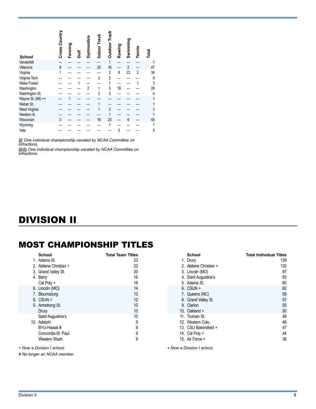<span id="page-7-0"></span>

| <b>School</b>      | Cross Country | Fencing | ទី | Gymnastics | Indoor Track | <b>Outdoor Track</b> | Rowing | Swimming       | <b>Tennis</b>  | Total |
|--------------------|---------------|---------|----|------------|--------------|----------------------|--------|----------------|----------------|-------|
| Vanderbilt         |               |         |    |            |              | 1                    |        |                |                |       |
| Villanova          | 9             |         |    |            | 20           | 16                   |        | $\overline{2}$ |                | 47    |
| Virginia           | 1             |         |    |            |              | 2                    | 8      | 23             | $\overline{2}$ | 36    |
| Virginia Tech      |               |         |    |            | 3            | 5                    |        |                |                | 8     |
| <b>Wake Forest</b> |               |         |    |            |              | 1                    |        |                |                | 3     |
| Washington         |               |         |    | 2          | 1            | 5                    | 18     |                |                | 26    |
| Washington St.     |               |         |    |            | 3            | 3                    |        |                |                | 6     |
| Wayne St. (MI) ++  |               |         |    |            |              |                      |        |                |                |       |
| Weber St.          |               |         |    |            |              |                      |        |                |                |       |
| West Virginia      |               |         |    |            |              | 2                    |        |                |                | 3     |
| Western III.       |               |         |    |            |              |                      |        |                |                |       |
| Wisconsin          | 3             |         |    |            | 16           | 20                   |        | 6              |                | 45    |
| Wyoming            |               |         |    |            |              |                      |        |                |                |       |
| Yale               |               |         |    |            |              |                      | 5      |                |                | 5     |

*@ One individual championship vacated by NCAA Committee on Infractions.*

*@@ One individual championship vacated by NCAA Committee on Infractions.*

# DIVISION II

## MOST CHAMPIONSHIP TITLES

| School                 | <b>Total Team Titles</b> |
|------------------------|--------------------------|
| 1. Adams St.           | 23                       |
| 2. Abilene Christian + | 22                       |
| 3. Grand Valley St.    | 20                       |
| 4. Barry               | 16                       |
| Cal Poly +             | 16                       |
| 6. Lincoln (MO)        | 14                       |
| 7. Bloomsburg          | 13                       |
| $8.$ CSUN $+$          | 12                       |
| 9. Armstrong St.       | 10                       |
| Drury                  | 10                       |
| Saint Augustine's      | 10                       |
| 12. Adelphi            | 9                        |
| BYU-Hawaii #           | 9                        |
| Concordia-St. Paul     | 9                        |
| Western Wash.          | 9                        |
|                        |                          |

*+ Now a Division I school.*

*# No longer an NCAA member.*

| School                 | Total Individual Titles |
|------------------------|-------------------------|
| 1. Drury               | 139                     |
| 2. Abilene Christian + | 130                     |
| 3. Lincoln (MO)        | 97                      |
| 4. Saint Augustine's   | 93                      |
| 5. Adams St.           | 80                      |
| 6. CSUN +              | 62                      |
| 7. Queens (NC)         | 59                      |
| 8. Grand Valley St.    | 57                      |
| 9. Clarion             | 55                      |
| 10. Oakland $+$        | 50                      |
| 11. Truman St.         | 49                      |
| 12. Western Colo.      | 48                      |
| 13. CSU Bakersfield +  | 47                      |
| 14. Cal Poly $+$       | 44                      |
| 15. Air Force +        | 38                      |
|                        |                         |

*+ Now a Division I school.*

#### Division II 8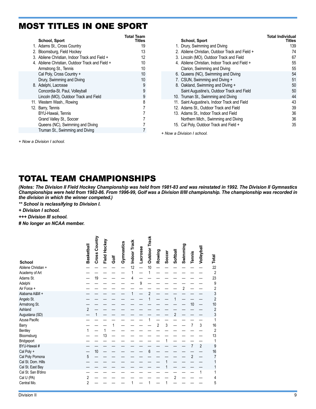### MOST TITLES IN ONE SPORT

| <b>School, Sport</b>                            | <b>Total Team</b><br>Titles |
|-------------------------------------------------|-----------------------------|
| 1. Adams St., Cross Country                     | 19                          |
| 2. Bloomsburg, Field Hockey                     | 13                          |
| 3. Abilene Christian, Indoor Track and Field +  | 12                          |
| 4. Abilene Christian, Outdoor Track and Field + | 10                          |
| Armstrong St., Tennis                           | 10                          |
| Cal Poly, Cross Country +                       | 10                          |
| Drury, Swimming and Diving                      | 10                          |
| 8. Adelphi, Lacrosse                            | 9                           |
| Concordia-St. Paul, Volleyball                  | 9                           |
| Lincoln (MO), Outdoor Track and Field           | 9                           |
| 11. Western Wash., Rowing                       | 8                           |
| 12. Barry, Tennis                               |                             |
| BYU-Hawaii, Tennis                              |                             |
| Grand Valley St., Soccer                        | 7                           |
| Queens (NC), Swimming and Diving                |                             |
| Truman St., Swimming and Diving                 |                             |

| <b>School, Sport</b>                            | <b>Total Individual</b><br>Titles |
|-------------------------------------------------|-----------------------------------|
| 1. Drury, Swimming and Diving                   | 139                               |
| 2. Abilene Christian, Outdoor Track and Field + | 74                                |
| 3. Lincoln (MO), Outdoor Track and Field        | 67                                |
| 4. Abilene Christian, Indoor Track and Field +  | 55                                |
| Clarion, Swimming and Diving                    | 55                                |
| 6. Queens (NC), Swimming and Diving             | 54                                |
| 7. CSUN, Swimming and Diving +                  | 51                                |
| 8. Oakland, Swimming and Diving +               | 50                                |
| Saint Augustine's, Outdoor Track and Field      | 50                                |
| 10. Truman St., Swimming and Diving             | 44                                |
| 11. Saint Augustine's, Indoor Track and Field   | 43                                |
| 12. Adams St., Outdoor Track and Field          | 39                                |
| 13. Adams St., Indoor Track and Field           | 36                                |
| Northern Mich., Swimming and Diving             | 36                                |
| Cal Poly, Outdoor Track and Field +<br>15.      | 35                                |

*+ Now a Division I school.*

*+ Now a Division I school.*

# TOTAL TEAM CHAMPIONSHIPS

*(Notes: The Division II Field Hockey Championship was held from 1981-83 and was reinstated in 1992. The Division II Gymnastics Championships were held from 1982-86. From 1996-99, Golf was a Division II/III championship. The championship was recorded in the division in which the winner competed.)*

*\*\* School is reclassifying to Division I.*

*+ Division I school.*

*+++ Division III school.*

*# No longer an NCAA member.*

| <b>School</b>                         | Basketball     | Cross Country | Field Hockey | Ğo | Gymnastics | Indoor Track | Lacrosse | <b>Outdoor Track</b> | Rowing         | Soccer | Softball       | Swimming | Tennis         | Volleyball | <b>Total</b>   |
|---------------------------------------|----------------|---------------|--------------|----|------------|--------------|----------|----------------------|----------------|--------|----------------|----------|----------------|------------|----------------|
| Abilene Christian +                   |                |               |              |    |            | 12           |          | 10                   |                |        |                |          |                |            | 22             |
| Academy of Art                        |                |               |              |    |            | 1            |          |                      |                |        |                |          |                |            | $\overline{2}$ |
| Adams St.                             |                | 19            |              |    |            | 4            |          |                      |                |        |                |          |                |            | 23             |
| Adelphi                               |                |               |              |    |            |              | 9        |                      |                |        |                |          |                |            | 9              |
| Air Force +                           |                |               |              |    |            |              |          |                      |                |        |                | 2        |                |            | $\overline{c}$ |
| Alabama A&M +                         |                |               |              |    |            |              |          | $\overline{2}$       |                |        |                |          |                |            | 3              |
| Angelo St.                            |                |               |              |    |            |              |          |                      |                |        |                |          |                |            | $\overline{2}$ |
| Armstrong St.                         |                |               |              |    |            |              |          |                      |                |        |                |          | 10             |            | 10             |
| Ashland                               | $\overline{2}$ |               |              |    |            |              |          |                      |                |        |                |          |                |            | $\overline{c}$ |
| Augustana (SD)                        |                |               |              |    |            |              |          |                      |                |        | $\overline{2}$ |          |                |            | 3              |
| Azusa Pacific                         |                |               |              |    |            |              |          |                      |                |        |                |          |                |            |                |
| Barry                                 |                |               |              |    |            |              |          |                      | $\overline{2}$ | 3      |                |          | 7              | 3          | 16             |
| Bentley                               |                |               |              |    |            |              |          |                      |                |        |                |          |                |            | $\overline{2}$ |
| Bloomsburg                            |                |               | 13           |    |            |              |          |                      |                |        |                |          |                |            | 13             |
| Bridgeport                            |                |               |              |    |            |              |          |                      |                |        |                |          |                |            |                |
| BYU-Hawaii #                          |                | 10            |              |    |            |              |          |                      |                |        |                |          | $\overline{7}$ | 2          | 9              |
| Cal Poly +                            | 5              |               |              |    |            |              |          | 6                    |                |        |                |          | $\overline{2}$ |            | 16<br>7        |
| Cal Poly Pomona<br>Cal St. Dom. Hills |                |               |              |    |            |              |          |                      |                |        |                |          |                |            |                |
| Cal St. East Bay                      |                |               |              |    |            |              |          |                      |                |        |                |          |                |            |                |
| Cal St. San B'dino                    |                |               |              |    |            |              |          |                      |                |        |                |          |                | 1          |                |
| Cal U (PA)                            | 2              |               |              |    |            |              |          |                      |                |        | 2              |          |                |            | 4              |
| Central Mo.                           | 2              |               |              |    |            |              |          |                      |                |        |                |          |                |            | 5              |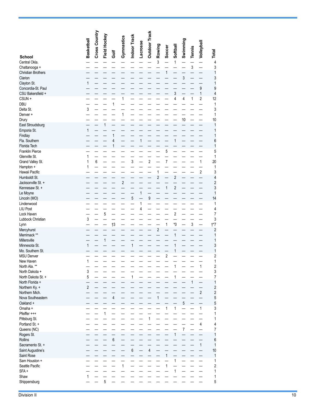|                                         | Basketball     | Cross Country | Field Hockey |             | Gymnastics              | Indoor Track     | Lacrosse | <b>Outdoor Track</b>    | Rowing                  | Soccer         | Softball                | Swimming       | Tennis         | Volleyball              |                                 |
|-----------------------------------------|----------------|---------------|--------------|-------------|-------------------------|------------------|----------|-------------------------|-------------------------|----------------|-------------------------|----------------|----------------|-------------------------|---------------------------------|
| <b>School</b>                           |                |               |              | Ğ           |                         |                  |          |                         |                         |                |                         |                |                |                         | Total                           |
| Central Okla.<br>Chattanooga +          |                |               |              |             |                         |                  |          |                         | 3                       |                | $\mathbf{1}$            |                | $\mathfrak{z}$ |                         | 4<br>3                          |
| <b>Christian Brothers</b>               |                |               |              |             |                         |                  |          |                         |                         | 1              |                         |                |                |                         | 1                               |
| Clarion                                 |                |               |              |             |                         |                  |          |                         |                         |                |                         | 3              |                |                         | 3                               |
| Clayton St.                             | 1              |               |              |             |                         |                  |          |                         |                         |                |                         |                |                | 9                       | 1                               |
| Concordia-St. Paul<br>CSU Bakersfield + |                |               |              |             |                         |                  |          |                         |                         |                | 3                       |                |                | 1                       | 9<br>$\overline{4}$             |
| CSUN +                                  |                |               |              |             | 1                       |                  |          |                         |                         |                | 4                       | 4              | 1              | 2                       | 12                              |
| <b>DBU</b>                              |                |               |              | 1           |                         |                  |          |                         |                         |                |                         |                |                |                         | 1                               |
| Delta St.<br>Denver +                   | 3              |               |              |             | 1                       |                  |          |                         |                         |                |                         |                |                |                         | 3<br>1                          |
| Drury                                   |                |               |              |             |                         |                  |          |                         |                         |                |                         | 10             |                |                         | 10                              |
| East Stroudsburg                        |                |               | 1            |             |                         |                  |          |                         |                         |                |                         |                |                |                         | 1                               |
| Emporia St.<br>Findlay                  | 1              |               |              | 1           |                         |                  |          |                         |                         |                |                         |                |                |                         | 1<br>1                          |
| Fla. Southern                           |                |               |              | 4           |                         |                  | 1        |                         |                         |                | $\mathbf{1}$            |                |                |                         | 6                               |
| Florida Tech                            |                |               |              | 1           |                         |                  |          |                         |                         |                |                         |                |                |                         | 1                               |
| Franklin Pierce                         |                |               |              |             |                         |                  |          |                         |                         | 5              |                         |                |                |                         | 5                               |
| Glenville St.<br>Grand Valley St.       | 1<br>1         | 6             |              |             |                         | 3                |          | $\overline{c}$          |                         | 7              |                         |                |                | 1                       | 1<br>20                         |
| Hampton +                               | 1              |               |              |             |                         |                  |          |                         |                         |                |                         |                |                |                         | 1                               |
| Hawaii Pacific                          |                |               |              |             |                         |                  |          |                         | 1                       |                |                         |                |                | $\overline{\mathbf{c}}$ | 3                               |
| Humboldt St.<br>Jacksonville St. +      |                |               |              |             | $\overline{\mathbf{c}}$ |                  |          |                         | $\overline{\mathbf{c}}$ |                | $\overline{c}$          |                |                |                         | 4<br>$\overline{\mathbf{c}}$    |
| Kennesaw St. +                          |                |               |              |             |                         |                  |          |                         |                         | 1              | $\overline{c}$          |                |                |                         | 3                               |
| Le Moyne                                |                |               |              |             |                         |                  | 1        |                         |                         |                |                         |                |                |                         | 1                               |
| Lincoln (MO)                            |                |               |              |             |                         | 5                |          | 9                       |                         |                |                         |                |                |                         | 14                              |
| Lindenwood<br><b>LIU Post</b>           |                |               |              |             |                         |                  | 1<br>4   |                         |                         |                |                         |                |                |                         | 1<br>4                          |
| Lock Haven                              |                |               | 5            |             |                         |                  |          |                         |                         |                | $\overline{\mathbf{c}}$ |                |                |                         | 7                               |
| Lubbock Christian                       | 3              |               |              |             |                         |                  |          |                         |                         |                |                         |                |                |                         | 3                               |
| Lynn<br>Mercyhurst                      |                |               |              | $\dagger$ 3 |                         |                  |          |                         | $\sqrt{2}$              | 1              | *0                      |                | 3              |                         | $\uparrow$ *7<br>$\overline{c}$ |
| Merrimack **                            |                |               |              |             |                         |                  |          |                         |                         |                | $\mathbf{1}$            |                |                |                         | 1                               |
| Millersville                            |                |               | $\mathbf{1}$ |             |                         |                  |          |                         |                         |                |                         |                |                |                         | 1                               |
| Minnesota St.<br>Mo. Southern St.       | 1              |               |              |             |                         | $\mathbf{1}$     |          |                         |                         |                | $\mathbf{1}$<br>1       |                |                |                         | 3<br>1                          |
| <b>MSU Denver</b>                       |                |               |              |             |                         |                  |          |                         |                         | $\overline{2}$ |                         |                |                |                         | $\overline{\mathbf{c}}$         |
| New Haven                               | 1              |               |              |             |                         |                  |          |                         |                         |                |                         |                |                |                         | 1                               |
| North Ala. **                           |                |               |              |             |                         |                  |          |                         |                         |                | $\mathbf{1}$            |                |                | 1                       | $\sqrt{2}$                      |
| North Dakota +<br>North Dakota St. +    | 3<br>5         |               |              |             |                         | $\mathbf{1}$     |          |                         |                         |                | $\mathbf{1}$            |                |                |                         | 3<br>7                          |
| North Florida +                         |                |               |              |             |                         |                  |          |                         |                         |                |                         |                | $\mathbf{1}$   |                         | 1                               |
| Northern Ky. +                          | $\overline{2}$ |               |              |             |                         |                  |          |                         |                         |                |                         |                |                |                         | $\sqrt{2}$                      |
| Northern Mich.<br>Nova Southeastern     |                |               |              | 4           |                         |                  |          |                         | 1                       |                |                         |                |                | $\sqrt{2}$              | $\sqrt{2}$<br>5                 |
| Oakland +                               |                |               |              |             |                         |                  |          |                         |                         |                |                         | $\overline{5}$ |                |                         | 5                               |
| Omaha +                                 |                |               |              |             |                         |                  |          |                         |                         | 1              | $\mathbf{1}$            |                |                | $\mathbf{1}$            | 3                               |
| Pfeiffer +++                            |                |               | 1            |             |                         |                  |          | $\mathbf{1}$            |                         |                |                         |                |                |                         | 1                               |
| Pittsburg St.<br>Portland St. +         |                |               |              |             |                         |                  |          |                         |                         |                |                         |                |                | 4                       | 1<br>4                          |
| Queens (NC)                             |                |               |              |             |                         |                  |          |                         |                         |                |                         | $\overline{7}$ |                |                         | 7                               |
| Rogers St.                              |                |               |              |             |                         |                  |          |                         |                         |                | $\mathbf{1}$            |                |                |                         | 1                               |
| Rollins<br>Sacramento St. +             |                |               |              | 6           |                         |                  |          |                         |                         |                |                         |                |                | 1                       | 6<br>1                          |
| Saint Augustine's                       |                |               |              |             |                         | $\boldsymbol{6}$ |          | $\overline{\mathbf{4}}$ |                         |                |                         |                |                |                         | 10                              |
| Saint Rose                              |                |               |              |             |                         |                  |          |                         |                         | $\mathbf{1}$   |                         |                |                |                         | 1                               |
| Sam Houston +                           |                |               |              |             | 1                       |                  |          |                         |                         | 1              | 1                       |                |                |                         | 1<br>2                          |
| Seattle Pacific<br>SFA+                 |                |               |              |             |                         |                  |          |                         |                         |                | 1                       |                |                |                         | 1                               |
| Shaw                                    | 1              |               |              |             |                         |                  |          |                         |                         |                |                         |                |                |                         | 1                               |
| Shippensburg                            |                |               | 5            |             |                         |                  |          |                         |                         |                |                         |                |                |                         | 5                               |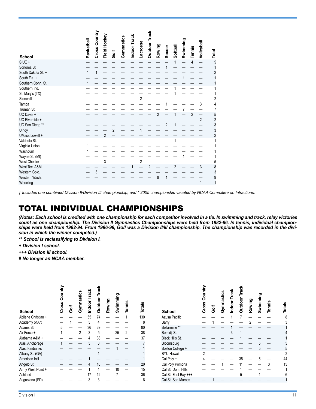| Basketball | Cross Country | Field Hockey<br>$\overline{2}$ | Golf<br>$\overline{2}$ | Gymnastics | Indoor Track | <b>Lacrosse</b> | <b>Outdoor Track</b> | Rowing<br>2 | Soccer<br>$\overline{2}$ | Softball       | Swimming | Tennis<br>4<br>$\mathfrak{p}$ | Volleyball<br>3<br>$\overline{c}$ | Total<br>5<br>2<br>2<br>4<br>5<br>$\overline{2}$<br>3<br>3<br>$\overline{2}$ |
|------------|---------------|--------------------------------|------------------------|------------|--------------|-----------------|----------------------|-------------|--------------------------|----------------|----------|-------------------------------|-----------------------------------|------------------------------------------------------------------------------|
|            |               |                                |                        |            |              |                 |                      |             |                          |                |          |                               |                                   |                                                                              |
|            |               |                                |                        |            |              |                 |                      |             |                          |                |          |                               |                                   |                                                                              |
|            |               |                                |                        |            |              |                 |                      |             |                          |                |          |                               |                                   |                                                                              |
|            |               |                                |                        |            |              |                 |                      |             |                          |                |          |                               |                                   |                                                                              |
|            |               |                                |                        |            |              |                 |                      |             |                          |                |          |                               |                                   |                                                                              |
|            |               |                                |                        |            |              |                 |                      |             |                          |                |          |                               |                                   |                                                                              |
|            |               |                                |                        |            |              |                 |                      |             |                          |                |          |                               |                                   |                                                                              |
|            |               |                                |                        |            |              |                 |                      |             |                          |                |          |                               |                                   |                                                                              |
|            |               |                                |                        |            |              |                 |                      |             |                          |                |          |                               |                                   |                                                                              |
|            |               |                                |                        |            |              |                 |                      |             |                          |                |          |                               |                                   |                                                                              |
|            |               |                                |                        |            |              |                 |                      |             |                          |                |          |                               |                                   |                                                                              |
|            |               |                                |                        |            |              |                 |                      |             |                          |                |          |                               |                                   |                                                                              |
|            |               |                                |                        |            |              |                 |                      |             |                          |                |          |                               |                                   |                                                                              |
|            |               | 3                              |                        |            |              |                 |                      |             |                          |                |          |                               |                                   | 5                                                                            |
|            |               |                                |                        |            |              |                 | $\overline{2}$       |             |                          | $\overline{2}$ |          |                               | 3                                 | 8                                                                            |
|            | 3             |                                |                        |            |              |                 |                      |             |                          |                |          |                               |                                   | 3                                                                            |
|            |               |                                |                        |            |              |                 |                      | 8           | 1                        |                |          |                               |                                   | 9                                                                            |
|            |               |                                |                        |            |              |                 |                      |             |                          |                |          |                               | 1                                 |                                                                              |

*† Includes one combined Division II/Division III championship, and \* 2005 championship vacated by NCAA Committee on Infractions.*

### TOTAL INDIVIDUAL CHAMPIONSHIPS

*(Notes: Each school is credited with one championship for each competitor involved in a tie. In swimming and track, relay victories count as one championship. The Division II Gymnastics Championships were held from 1982-86. In tennis, individual championships were held from 1982-94. From 1996-99, Golf was a Division II/III championship. The championship was recorded in the division in which the winner competed.)*

*\*\* School is reclassifying to Division I.*

*+ Division I school.*

*+++ Division III school.*

*# No longer an NCAA member.* 

| <b>School</b>       | <b>Algun</b><br>న్రె<br>Cross | Ğ | Gymnastics | <b>Track</b><br>Indoor | Track<br><b>Dutdoo</b> | Rowing | Swimming | <b>Tennis</b> | <b>Totals</b> | <b>School</b>          | ပ<br>Cross | Ğ | Gymnastics | <b>Track</b><br>Indoor | 놂<br><b>Dutdoo</b> | Rowing | Swimming | Tennis | <b>Totals</b> |
|---------------------|-------------------------------|---|------------|------------------------|------------------------|--------|----------|---------------|---------------|------------------------|------------|---|------------|------------------------|--------------------|--------|----------|--------|---------------|
| Abilene Christian + |                               |   |            | 55                     | 74                     |        |          |               | 130           | Azusa Pacific          |            |   |            |                        |                    |        |          |        | 8             |
| Academy of Art      |                               |   |            |                        |                        |        |          |               | 8             | Barry                  |            |   |            |                        |                    |        |          |        |               |
| Adams St.           | 5                             |   |            | 36                     | 39                     |        |          |               | 80            | Bellarmine **          |            |   |            |                        |                    |        |          |        |               |
| Air Force +         |                               |   |            | 3                      | 5                      |        | 25       | 2             | 38            | Bemidji St.            |            |   |            |                        |                    |        |          |        |               |
| Alabama A&M +       |                               |   |            |                        | 33                     |        |          |               | 37            | <b>Black Hills St.</b> |            |   |            |                        |                    |        |          |        |               |
| Alas. Anchorage     |                               |   |            |                        |                        |        |          |               |               | Bloomsburg             |            |   |            |                        |                    |        |          |        | 5             |
| Alas, Fairbanks     |                               |   |            |                        |                        |        |          |               |               | Boston College +       |            |   |            |                        |                    |        |          |        | 5             |
| Albany St. (GA)     |                               |   |            |                        |                        |        |          |               |               | BYU-Hawaii             |            |   |            |                        |                    |        |          |        |               |
| American Int'l      |                               |   |            |                        |                        |        |          |               |               | Cal Poly +             |            |   |            |                        |                    |        |          |        | 44            |
| Angelo St.          |                               |   |            |                        | 16                     |        |          |               | 20            | Cal Poly Pomona        |            |   |            |                        |                    |        |          |        | 15            |
| Army West Point +   |                               |   |            |                        |                        |        |          |               | 15            | Cal St. Dom. Hills     |            |   |            |                        |                    |        |          |        |               |
| Ashland             |                               |   |            |                        | 12                     |        |          |               | 36            | Cal St. East Bay +++   |            |   |            |                        |                    |        |          |        | 6             |
| Augustana (SD)      |                               |   |            |                        |                        |        |          |               | 6             | Cal St. San Marcos     |            |   |            |                        |                    |        |          |        |               |
|                     |                               |   |            |                        |                        |        |          |               |               |                        |            |   |            |                        |                    |        |          |        |               |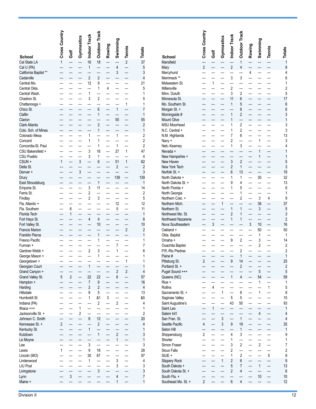| School                           | Cross Country  | Golf           | Gymnastics     | Indoor Track         | <b>Outdoor Track</b> | Rowing | Swimming       | <b>Tennis</b>                              | <b>Totals</b>            | <b>School</b>                             | Cross Country  | Ğ | Gymnastics   | Indoor Track   | <b>Outdoor Track</b>                       | Rowing | Swimming       | <b>Tennis</b> | <b>Totals</b>              |
|----------------------------------|----------------|----------------|----------------|----------------------|----------------------|--------|----------------|--------------------------------------------|--------------------------|-------------------------------------------|----------------|---|--------------|----------------|--------------------------------------------|--------|----------------|---------------|----------------------------|
| Cal State LA                     | 1              |                |                | 16                   | 18                   |        |                | $\sqrt{2}$                                 | 37                       | Mansfield                                 |                |   |              |                |                                            |        |                |               | $\mathbf{1}$               |
| Cal U (PA)                       |                |                |                | 1                    |                      |        | 4              |                                            | 5                        | Mary                                      | $\overline{2}$ |   |              | $\overline{2}$ |                                            |        |                |               | 8                          |
| California Baptist **            |                |                |                |                      |                      |        | 3              |                                            | 3                        | Mercyhurst                                |                |   |              |                |                                            | 4      |                |               | 4                          |
| Cedarville                       |                |                |                | $\overline{2}$       | $\overline{2}$       |        |                |                                            | $\overline{4}$           | Merrimack **                              |                |   |              | 3              | 3                                          |        |                |               | 6                          |
| Central Mo.                      |                |                |                | 12                   | 9                    |        |                |                                            | 21                       | Midwestern St.                            |                |   |              |                |                                            |        |                |               | 1                          |
| Central Okla.                    |                |                |                |                      | 1                    | 4      |                |                                            | 5                        | Millersville                              |                |   |              | $\overline{c}$ |                                            |        |                |               | $\sqrt{2}$                 |
| Central Wash.                    |                |                |                |                      |                      |        |                |                                            | 1                        | Minn. Duluth                              |                |   |              | 3              | $\overline{2}$                             |        |                |               | 5                          |
| Chadron St.                      |                |                |                | 3                    | $\overline{2}$       |        |                |                                            | 5                        | Minnesota St.                             |                |   |              | 11             | 6                                          |        |                |               | 17                         |
| Chattanooga +                    |                |                |                |                      |                      |        |                | $\mathbf{1}$                               | 1                        | Mo. Southern St.                          |                |   |              | 1              | 5                                          |        |                |               | $6\phantom{a}$             |
| Chico St.                        |                |                |                |                      | 6                    |        | $\mathbf{1}$   |                                            | $\overline{7}$           | Morgan St. +                              |                |   |              |                | 6                                          |        |                |               | $6\phantom{a}$             |
| Claflin                          |                |                |                |                      | 1                    |        |                |                                            | $\mathbf{1}$             | Morningside #                             |                |   |              | 1              | $\overline{2}$                             |        |                |               | $\sqrt{3}$<br>$\mathbf{1}$ |
| Clarion<br>Clark Atlanta         |                |                |                |                      | $\overline{2}$       |        | 55             |                                            | 55<br>$\overline{c}$     | <b>Mount Olive</b><br><b>MSU Moorhead</b> |                |   |              |                | 2                                          |        |                |               | $\mathsf 3$                |
| Colo. Sch. of Mines              |                |                |                |                      | 1                    |        |                |                                            | $\mathbf{1}$             | N.C. Central +                            |                |   |              |                | $\overline{2}$                             |        |                |               | $\mathsf 3$                |
| Colorado Mesa                    |                |                |                |                      |                      |        | 1              |                                            | $\overline{\mathbf{c}}$  | N.M. Highlands                            |                |   |              | 7              | 6                                          |        |                |               | 13                         |
| Concord                          |                |                |                |                      |                      |        |                |                                            | $\overline{\mathbf{c}}$  | Navy +                                    |                |   |              | $\overline{2}$ |                                            |        |                |               | 3                          |
| Concordia-St. Paul               |                |                |                |                      |                      |        | 1              |                                            | $\overline{\mathbf{c}}$  | Neb.-Kearney                              |                |   |              | 1              | 3                                          |        |                |               | 4                          |
| CSU Bakersfield +                |                |                |                | 3                    | 16                   |        | 27             | $\mathbf{1}$                               | 47                       | Nevada +                                  |                |   |              |                |                                            |        |                |               | 1                          |
| <b>CSU Pueblo</b>                |                |                |                | 3                    | 1                    |        |                |                                            | 4                        | New Hampshire +                           |                |   |              |                |                                            |        |                |               | $\mathbf{1}$               |
| CSUN +                           |                |                | 3              |                      | 6                    |        | 51             | $\mathbf{1}$                               | 62                       | New Haven                                 |                |   |              | 3              | $\overline{2}$                             |        |                |               | 5                          |
| Delta St.                        |                |                |                |                      |                      |        | $\overline{2}$ |                                            | $\overline{c}$           | New York Tech                             |                |   |              | $\overline{2}$ |                                            |        |                |               | $\sqrt{3}$                 |
| Denver +                         |                |                | 3              |                      |                      |        |                |                                            | 3                        | Norfolk St. +                             |                |   |              | 6              | 13                                         |        |                |               | 19                         |
| Drury                            |                |                |                |                      |                      |        | 139            |                                            | 139                      | North Dakota +                            |                |   |              |                |                                            |        | 30             |               | 32                         |
| East Stroudsburg                 |                |                |                |                      | 1                    |        |                |                                            | $\mathbf{1}$             | North Dakota St. +                        |                |   |              | 9              | 4                                          |        |                |               | 13                         |
| Emporia St.                      |                |                |                | 3                    | 11                   |        |                |                                            | 14                       | North Florida +                           |                |   |              |                | 5                                          |        |                |               | 6                          |
| Ferris St.                       |                |                |                | 2                    |                      |        |                |                                            | $\overline{2}$           | North Georgia                             |                |   |              |                |                                            |        |                |               | 1                          |
| Findlay                          |                |                |                | $\overline{2}$       | 3                    |        |                |                                            | 5                        | Northern Colo. +                          |                |   |              |                | $\overline{2}$                             |        | 3              | 4             | 9                          |
| Fla. Atlantic +<br>Fla. Southern |                | 6              |                |                      |                      |        | 12<br>5        |                                            | 12<br>11                 | Northern Mich.<br>Northern St.            |                |   | 1            | 1              |                                            |        | 36<br>3        |               | 37<br>5                    |
| Florida Tech                     |                | 1              |                |                      |                      |        |                |                                            | $\mathbf{1}$             | Northwest Mo. St.                         |                |   |              | $\overline{2}$ |                                            |        |                |               | $\mathfrak{z}$             |
| Fort Hays St.                    |                |                |                |                      | 4                    |        |                |                                            | 8                        | Northwest Nazarene                        |                |   |              |                |                                            |        |                |               | $\overline{\mathbf{c}}$    |
| Fort Valley St.                  |                |                |                |                      | 10                   |        |                |                                            | 10                       | Nova Southeastern                         |                | 3 |              |                |                                            | 3      | 10             |               | 16                         |
| <b>Francis Marion</b>            |                |                |                |                      |                      |        |                | $\sqrt{2}$                                 | $\overline{c}$           | Oakland +                                 |                |   |              |                |                                            |        | 50             |               | 50                         |
| <b>Franklin Pierce</b>           |                |                |                |                      |                      |        |                |                                            | 1                        | Okla. Baptist                             |                |   |              |                |                                            |        | 1              |               | $\mathbf{1}$               |
| Fresno Pacific                   |                |                |                |                      |                      |        |                |                                            | 1                        | Omaha +                                   |                |   |              | 9              | 2                                          |        | 3              |               | 14                         |
| Furman +                         |                |                |                |                      |                      |        |                |                                            | 7                        | <b>Ouachita Baptist</b>                   |                |   |              |                |                                            |        | $\overline{c}$ |               | $\sqrt{2}$                 |
| Gardner-Webb +                   |                |                |                | 2                    | 3                    |        |                |                                            | 6                        | P.R.-Rio Piedras                          |                |   |              |                | 2                                          |        |                |               | $\sqrt{2}$                 |
| George Mason +                   |                |                |                |                      |                      |        |                |                                            | 1                        | Paine #                                   |                |   |              |                |                                            |        |                |               | $\mathbf{1}$               |
| Georgetown +                     |                |                |                |                      |                      |        |                |                                            |                          | Pittsburg St.                             | 2              |   |              |                | 14                                         |        |                |               | 25                         |
| Georgian Court                   |                |                |                | 1                    |                      |        |                |                                            | $\mathbf{1}$             | Portland St. +                            |                |   |              |                | $\overline{2}$                             |        |                |               | $\overline{2}$             |
| Grand Canyon +                   |                |                |                |                      |                      |        | $\overline{2}$ | $\overline{2}$<br>$\overline{\phantom{0}}$ | $\overline{\mathbf{r}}$  | Puget Sound +++                           |                |   |              | $\mathbf{1}$   |                                            |        | 5<br>54        |               | $\overline{5}$             |
| Grand Valley St.<br>Hampton +    | 5              | $\overline{2}$ |                | 22<br>$\overline{7}$ | 22<br>9              |        | 6              |                                            | 57<br>16                 | Queens (NC)<br>Rice +                     |                |   |              |                | 4                                          |        | 1              |               | 59<br>$\mathbf{1}$         |
| Harding                          |                |                |                | $\overline{2}$       | $\overline{2}$       |        |                |                                            | $\overline{\mathcal{L}}$ | Rollins                                   |                | 4 |              |                |                                            |        |                | $\mathbf{1}$  | $\mathbf 5$                |
| Hillsdale                        |                |                |                | 8                    | 5                    |        |                |                                            | 13                       | Sacramento St. +                          |                |   | $\mathbf{1}$ |                | 6                                          |        | $\mathbf{1}$   |               | 8                          |
| Humboldt St.                     |                |                |                | 1                    | &1                   | 3      |                |                                            | &5                       | Saginaw Valley                            |                |   |              | 5              | 5                                          |        |                |               | $10$                       |
| Indiana (PA)                     |                |                |                |                      | $\overline{2}$       |        | $\overline{2}$ |                                            | 4                        | Saint Augustine's                         |                |   |              | 43             | 50                                         |        |                |               | 93                         |
| Ithaca +++                       |                |                |                |                      |                      |        |                |                                            | 1                        | Saint Leo                                 |                |   |              |                |                                            |        |                |               | $\mathbf{1}$               |
| Jacksonville St. +               |                |                | $\overline{c}$ |                      |                      |        |                |                                            | $\overline{2}$           | Salem Int'l                               |                |   |              |                |                                            |        |                |               | $\overline{4}$             |
| Johnson C. Smith                 |                |                |                | 8                    | 12                   |        |                |                                            | 20                       | San Fran. St.                             |                |   | 3            |                | $\overline{1}$                             |        |                |               | 4                          |
| Kennesaw St. +                   | $\overline{2}$ |                |                |                      | $\overline{2}$       |        |                |                                            | $\overline{4}$           | Seattle Pacific                           | 4              |   | 3            | 9              | 19                                         |        |                |               | 35                         |
| Kentucky St.                     |                |                |                |                      |                      |        |                |                                            | $\mathbf{1}$             | Seton Hill                                |                |   |              |                | $\overline{1}$                             |        |                |               | $\mathbf{1}$               |
| Kutztown                         |                |                |                |                      | $\overline{1}$       |        | $\overline{2}$ |                                            | 3                        | Shippensburg                              | $\overline{2}$ |   |              | 4              | 3                                          |        |                |               | 9                          |
| Le Moyne                         |                |                |                |                      |                      |        | 1              |                                            | $\mathbf{1}$             | Shorter                                   |                |   |              | 1              |                                            |        |                |               | 1                          |
| Lee                              |                |                |                | 3                    |                      |        |                |                                            | 3                        | Simon Fraser                              |                |   |              | 3              | $\overline{2}$                             |        | $\overline{2}$ |               | $\boldsymbol{7}$           |
| Lewis                            |                |                |                | 9<br>30              | 18<br>67             |        |                |                                            | 28<br>97                 | Sioux Falls<br>SIUE +                     |                |   |              | 2<br>1         | $\overline{\phantom{0}}$<br>$\overline{2}$ |        |                | 5             | $\sqrt{2}$<br>8            |
| Lincoln (MO)<br>Lindenwood       |                |                |                | $\mathbf{1}$         |                      |        | 3              |                                            |                          |                                           |                |   | $\mathbf{1}$ | $\overline{2}$ | 6                                          |        |                |               |                            |
| <b>LIU Post</b>                  |                |                |                |                      |                      |        | 3              | $\overline{\phantom{0}}$                   | 4<br>3                   | Slippery Rock<br>South Dakota +           |                |   |              | 5              | $\overline{7}$                             |        | 1              |               | 9<br>13                    |
| Livingstone                      |                |                |                |                      | 3                    |        |                |                                            | 3                        | South Dakota St. +                        |                |   |              | 2              | 4                                          |        |                |               | $6\phantom{1}6$            |
| Lynn                             |                | 3              |                |                      |                      |        | 4              |                                            | $\overline{7}$           | South Fla. +                              |                |   |              |                |                                            |        | 10             |               | 10                         |
| Maine +                          |                |                |                |                      |                      |        |                |                                            | 1                        | Southeast Mo. St. +                       | $\overline{2}$ |   |              | 6              | $\overline{4}$                             |        |                |               | 12                         |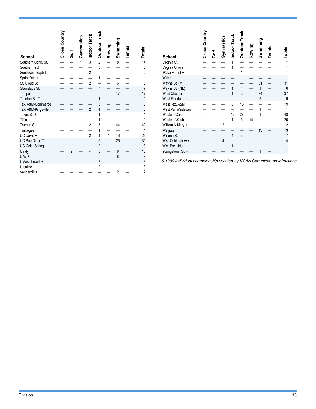|                     | Country<br>Cross | ā              | Gymnastics   | Indoor Track   | <b>Outdoor Track</b> | Rowing | Swimming       | Tennis | Totals         |
|---------------------|------------------|----------------|--------------|----------------|----------------------|--------|----------------|--------|----------------|
| <b>School</b>       |                  |                |              |                |                      |        |                |        |                |
| Southern Conn. St.  |                  |                | $\mathbf{1}$ | 3              | $\overline{c}$       |        | 8              |        | 14             |
| Southern Ind.       |                  |                |              |                | 3                    |        |                |        | 3              |
| Southwest Baptist   |                  |                |              | $\overline{2}$ |                      |        |                |        | $\overline{c}$ |
| Springfield +++     |                  |                |              |                | 1                    |        |                |        | 1              |
| St. Cloud St.       |                  |                |              | $\overline{2}$ |                      |        | 6              |        | 8              |
| Stanislaus St.      |                  |                |              |                | 7                    |        |                |        | 7              |
| Tampa               |                  |                |              |                |                      |        | 17             |        | 17             |
| Tarleton St. **     |                  |                |              |                | 1                    |        |                |        | 1              |
| Tex. A&M-Commerce   |                  |                |              |                | 3                    |        |                |        | 3              |
| Tex. A&M-Kingsville |                  |                |              | $\overline{2}$ | 4                    |        |                |        | 6              |
| Texas St. +         |                  |                |              |                | 1                    |        |                |        | 1              |
| Tiffin              |                  |                |              |                | 1                    |        |                |        | 1              |
| Truman St.          |                  |                |              | $\overline{2}$ | 3                    |        | 44             |        | 49             |
| Tuskegee            |                  |                |              |                | 1                    |        |                |        | 1              |
| UC Davis +          |                  |                |              | $\overline{2}$ | 4                    | 4      | 16             |        | 26             |
| UC San Diego **     |                  |                |              |                | 5                    |        | 26             |        | 31             |
| UC-Colo. Springs    |                  |                |              | 1              | $\overline{2}$       |        |                |        | 3              |
| Ulndy               |                  | $\overline{2}$ |              | $\overline{4}$ | 3                    |        | 6              |        | 15             |
| $U/W +$             |                  |                |              |                |                      |        | 8              |        | 8              |
| UMass Lowell +      |                  |                |              | 1              | $\overline{2}$       |        |                |        | 3              |
| Ursuline            |                  |                |              | 1              | $\overline{2}$       |        |                |        | 3              |
| Vanderbilt +        |                  |                |              |                |                      |        | $\overline{2}$ |        | $\overline{2}$ |

| <b>School</b>                                                                           | Country<br>Cross | ā | Gymnastics     | Indoor Track<br>1 | <b>Outdoor Track</b>                  | Rowing | Swimming           | Tennis | Totals             |
|-----------------------------------------------------------------------------------------|------------------|---|----------------|-------------------|---------------------------------------|--------|--------------------|--------|--------------------|
| Virginia St.<br>Virginia Union                                                          |                  |   |                |                   |                                       |        |                    |        |                    |
| Wake Forest +                                                                           |                  |   |                |                   |                                       |        |                    |        |                    |
| Walsh<br>Wayne St. (MI)<br>Wayne St. (NE)<br><b>West Chester</b><br><b>West Florida</b> |                  |   |                | 1                 | 1<br>$\overline{4}$<br>$\overline{2}$ |        | 31<br>1<br>34<br>9 |        | 31<br>6<br>37<br>9 |
| West Tex. A&M<br>West Va. Wesleyan                                                      |                  |   |                | 6                 | 13                                    |        | 1                  |        | 19<br>1            |
| Western Colo.                                                                           | 5                |   |                | 15                | 27                                    |        | 1                  |        | 48                 |
| Western Wash.                                                                           |                  |   |                | 1                 | 5                                     | 14     |                    |        | 20                 |
| William & Mary +                                                                        |                  |   | $\overline{2}$ |                   |                                       |        |                    |        | $\overline{2}$     |
| Wingate                                                                                 |                  |   |                |                   |                                       |        | 13                 |        | 13                 |
| Winona St.                                                                              |                  |   |                | $\overline{4}$    | 3                                     |        |                    |        | 7                  |
| Wis.-Oshkosh +++                                                                        |                  |   | 4              |                   |                                       |        |                    |        | 4                  |
| Wis.-Parkside<br>Youngstown St. +                                                       |                  |   |                |                   |                                       |        | 1                  |        | 1<br>1             |

*\$ 1999 individual championship vacated by NCAA Committee on Infractions.*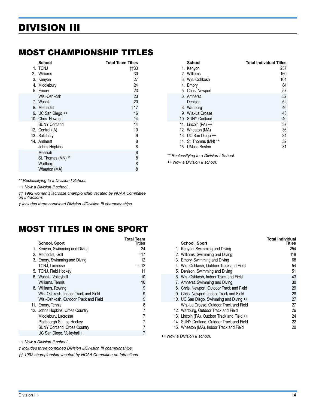# <span id="page-13-0"></span>DIVISION III

### MOST CHAMPIONSHIP TITLES

| School               | <b>Total Team Titles</b> |
|----------------------|--------------------------|
| 1. TCNJ              | ††33                     |
| 2. Williams          | 30                       |
| 3. Kenyon            | 27                       |
| 4. Middlebury        | 24                       |
| 5. Emory             | 23                       |
| Wis.-Oshkosh         | 23                       |
| 7. WashU             | 20                       |
| 8. Methodist         | †17                      |
| 9. UC San Diego ++   | 16                       |
| 10. Chris. Newport   | 14                       |
| <b>SUNY Cortland</b> | 14                       |
| 12. Central (IA)     | 10                       |
| 13. Salisbury        | 9                        |
| 14. Amherst          | 8                        |
| Johns Hopkins        | 8                        |
| Messiah              | 8                        |
| St. Thomas (MN) **   | 8                        |
| Wartburg             | 8                        |
| Wheaton (MA)         | 8                        |

**School Total Individual Titles** 1. Kenyon 257 2. Williams 160<br>3. Wis.-Oshkosh 104<br>104 3. Wis.-Oshkosh 104 4. Emory 84 5. Chris. Newport 57<br>
6. Amherst 52 6. Amherst 52<br>Denison 52 Denison 52<br>Wartburg 46 - 1999 - 1999 - 1999 - 1999 - 1999 - 1999 - 1999 - 1999 - 1999 - 1999 - 1999 - 1999 - 1999 - 1999<br>The Samuel Communication of the Samuel Communication of the Samuel Communication of the Samuel Commun 8. Wartburg 9. Wis.-La Crosse 43<br>
10. SUNY Cortland 40 10. SUNY Cortland 11. Lincoln (PA) ++ 37<br>12. Wheaton (MA) 36 12. Wheaton (MA) 36<br>13. UC San Diego ++ 34 13. UC San Diego ++ 34<br>14. St. Thomas (MN) \*\* 32 14. St. Thomas (MN) \*\* 15. UMass Boston 31

*\*\* Reclassifying to a Division I School.*

*++ Now a Division II school.*

*\*\* Reclassifying to a Division I School.*

*++ Now a Division II school.*

*†† 1992 women's lacrosse championship vacated by NCAA Committee on Infractions.*

*† Includes three combined Division II/Division III championships.*

## MOST TITLES IN ONE SPORT

| <b>School, Sport</b>                  | Total Team<br>Titles |
|---------------------------------------|----------------------|
| 1. Kenyon, Swimming and Diving        | 24                   |
| 2. Methodist, Golf                    | †17                  |
| 3. Emory, Swimming and Diving         | 12                   |
| TCNJ, Lacrosse                        | ††12                 |
| 5. TCNJ, Field Hockey                 | 11                   |
| 6. WashU, Volleyball                  | 10                   |
| Williams, Tennis                      | 10                   |
| 8. Williams, Rowing                   | 9                    |
| Wis.-Oshkosh, Indoor Track and Field  | 9                    |
| Wis.-Oshkosh, Outdoor Track and Field | 9                    |
| 11. Emory, Tennis                     | 8                    |
| 12. Johns Hopkins, Cross Country      | 7                    |
| Middlebury, Lacrosse                  | 7                    |
| Plattsburgh St., Ice Hockey           |                      |
| <b>SUNY Cortland, Cross Country</b>   |                      |
| UC San Diego, Volleyball ++           |                      |
|                                       |                      |

*++ Now a Division II school.*

*† Includes three combined Division II/Division III championships.*

*†† 1992 championship vacated by NCAA Committee on Infractions.*

| School, Sport                                | Tolai Muiviuuai<br><b>Titles</b> |
|----------------------------------------------|----------------------------------|
| 1. Kenyon, Swimming and Diving               | 254                              |
| 2. Williams, Swimming and Diving             | 118                              |
| 3. Emory, Swimming and Diving                | 68                               |
| 4. Wis.-Oshkosh, Outdoor Track and Field     | 54                               |
| 5. Denison, Swimming and Diving              | 51                               |
| 6. Wis.-Oshkosh, Indoor Track and Field      | 43                               |
| 7. Amherst, Swimming and Diving              | 30                               |
| 8. Chris. Newport, Outdoor Track and Field   | 29                               |
| 9. Chris. Newport, Indoor Track and Field    | 28                               |
| 10. UC San Diego, Swimming and Diving ++     | 27                               |
| Wis.-La Crosse, Outdoor Track and Field      | 27                               |
| 12. Wartburg, Outdoor Track and Field        | 26                               |
| 13. Lincoln (PA), Outdoor Track and Field ++ | 24                               |
| 14. SUNY Cortland, Outdoor Track and Field   | 22                               |
| 15. Wheaton (MA), Indoor Track and Field     | 20                               |

*++ Now a Division II school.*

**Total Individual**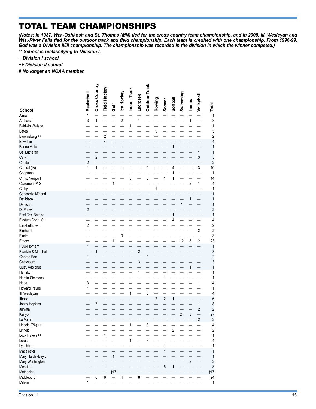# TOTAL TEAM CHAMPIONSHIPS

*(Notes: In 1987, Wis.-Oshkosh and St. Thomas (MN) tied for the cross country team championship, and in 2008, Ill. Wesleyan and Wis.-River Falls tied for the outdoor track and field championship. Each team is credited with one championship. From 1996-99, Golf was a Division II/III championship. The championship was recorded in the division in which the winner competed.)*

*\*\* School is reclassifying to Division I.*

- *+ Division I school.*
- *++ Division II school.*
- *# No longer an NCAA member.*

|                                                                                             | <b>Basketball</b>       | Cross Country       | Field Hockey                  |                     | Ice Hockey     | Indoor Track                   |                          | <b>Outdoor Track</b>            |                         |                         |                                     |              |                               |                                              |                                               |
|---------------------------------------------------------------------------------------------|-------------------------|---------------------|-------------------------------|---------------------|----------------|--------------------------------|--------------------------|---------------------------------|-------------------------|-------------------------|-------------------------------------|--------------|-------------------------------|----------------------------------------------|-----------------------------------------------|
| <b>School</b><br>Alma<br>Amherst<br><b>Baldwin Wallace</b><br><b>Bates</b><br>Bloomsburg ++ | 1<br>3                  | $\mathbf{1}$        | $\overline{\mathbf{c}}$       | Ğo                  | $\overline{2}$ | $\mathbf{1}$                   | <b>Lacrosse</b><br>1     |                                 | Rowing<br>5             | Soccer                  | Softball                            | Swimming     | <b>Tennis</b><br>$\mathbf{1}$ | Volleyball                                   | Total<br>1<br>8<br>1<br>5<br>$\overline{2}$   |
| Bowdoin<br><b>Buena Vista</b><br>Cal Lutheran<br>Calvin<br>Capital<br>Central (IA)          | $\overline{2}$<br>1     | $\overline{2}$<br>1 | 4                             |                     |                |                                |                          | 1                               |                         |                         | $\mathbf{1}$<br>$\overline{4}$<br>1 |              |                               | 1<br>3<br>3                                  | 4<br>1<br>1<br>5<br>$\overline{c}$<br>10<br>1 |
| Chapman<br>Chris. Newport<br>Claremont-M-S<br>Colby<br>Concordia-M'head                     | 1                       |                     |                               | 1                   |                | 6                              |                          | 6                               | 1                       | 1                       | $\mathbf{1}$                        |              | $\overline{2}$                | 1                                            | 14<br>4<br>1<br>1                             |
| Davidson +<br>Denison<br>DePauw<br>East Tex. Baptist<br>Eastern Conn. St.                   | $\overline{\mathbf{c}}$ |                     |                               |                     |                |                                |                          |                                 |                         |                         | $\mathbf{1}$<br>4                   | $\mathbf{1}$ | $\mathbf{1}$                  |                                              | 1<br>1<br>$\overline{c}$<br>1<br>4            |
| Elizabethtown<br>Elmhurst<br>Elmira<br>Emory<br>FDU-Florham                                 | $\overline{2}$<br>1     |                     |                               | 1                   | 3              |                                |                          |                                 |                         |                         |                                     | 12           | 8                             | $\overline{c}$<br>2                          | 2<br>2<br>3<br>23<br>1                        |
| Franklin & Marshall<br>George Fox<br>Gettysburg<br>Gust. Adolphus<br>Hamilton               | $\mathbf{1}$            | 1                   |                               |                     |                |                                | $\overline{2}$<br>3<br>1 | 1                               |                         |                         |                                     |              | 1                             |                                              | 3<br>$\overline{c}$<br>3<br>1<br>1            |
| Hardin-Simmons<br>Hope<br>Howard Payne<br>III. Wesleyan                                     | 3<br>1                  |                     |                               |                     |                | $\mathbf{1}$                   |                          | 3                               |                         | 1                       |                                     |              |                               | 1                                            | 1<br>4<br>1<br>4                              |
| Ithaca<br>Johns Hopkins<br>Juniata<br>Kenyon<br>La Verne                                    |                         | 7                   | 1                             |                     |                |                                |                          |                                 | $\overline{\mathbf{c}}$ | $\overline{\mathbf{c}}$ | $\mathbf{1}$                        | 24           | 3                             | $\mathbf{1}$<br>$\overline{c}$<br>$\sqrt{2}$ | 6<br>8<br>$\overline{c}$<br>27<br>$\sqrt{2}$  |
| Lincoln (PA) ++<br>Linfield<br>Lock Haven ++<br>Loras<br>Lynchburg                          |                         |                     | $\mathbf{1}$                  |                     |                | $\overline{1}$<br>$\mathbf{1}$ |                          | $\frac{1}{3}$<br>$\mathfrak{z}$ |                         | 1                       | $\overline{2}$                      |              |                               |                                              | 4<br>2<br>1<br>4<br>1                         |
| Macalester<br>Mary Hardin-Baylor<br>Mary Washington<br>Messiah<br>Methodist                 |                         |                     | 1<br>$\overline{\phantom{0}}$ | $\mathbf{1}$<br>†17 |                |                                |                          |                                 |                         | $\mathbf{1}$<br>6       | $\mathbf{1}$                        |              | $\overline{2}$                |                                              | 1<br>1<br>$\sqrt{2}$<br>8<br>†17              |
| Middlebury<br>Millikin                                                                      | $\mathbf{1}$            | 6                   | $\,6\,$                       |                     | 4              |                                | $\bf 8$                  |                                 |                         |                         |                                     |              |                               |                                              | 24<br>1                                       |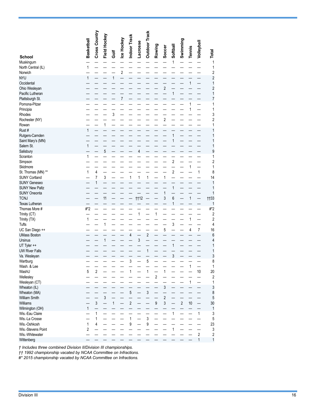| <b>School</b>                          | Basketball     | Cross Country                 | Field Hockey             | Ğ | Ice Hockey     | Indoor Track     | Lacrosse       | <b>Outdoor Track</b> | Rowing           | Soccer                  | Softball                | Swimming       | <b>Tennis</b> | Volleyball     | Total                   |
|----------------------------------------|----------------|-------------------------------|--------------------------|---|----------------|------------------|----------------|----------------------|------------------|-------------------------|-------------------------|----------------|---------------|----------------|-------------------------|
| Muskingum                              |                |                               |                          |   |                |                  |                |                      |                  |                         | 1                       |                |               |                | 1                       |
| North Central (IL)                     | $\mathbf{1}$   |                               |                          |   |                |                  |                |                      |                  |                         |                         |                |               |                | 1                       |
| Norwich                                |                |                               |                          |   | $\sqrt{2}$     |                  |                |                      |                  |                         |                         |                |               |                | 2                       |
| <b>NYU</b>                             | 1              |                               |                          | 1 |                |                  |                |                      |                  |                         |                         |                |               |                | 2                       |
| Occidental                             |                |                               |                          |   |                |                  |                |                      |                  |                         |                         |                | $\mathbf{1}$  |                | 1                       |
| Ohio Wesleyan                          |                |                               |                          |   |                |                  |                |                      |                  | $\overline{2}$          |                         |                |               |                | $\overline{c}$          |
| Pacific Lutheran                       |                |                               |                          |   |                |                  |                |                      |                  |                         | $\mathbf{1}$            |                |               |                | 1                       |
| Plattsburgh St.<br>Pomona-Pitzer       |                |                               |                          |   | $\overline{7}$ |                  |                |                      |                  |                         |                         |                | 1             |                | 7<br>1                  |
| Principia                              |                |                               |                          |   |                |                  |                |                      |                  |                         |                         |                | 1             |                | 1                       |
| Rhodes                                 |                |                               |                          | 3 |                |                  |                |                      |                  |                         |                         |                |               |                | 3                       |
| Rochester (NY)                         |                |                               |                          |   |                |                  |                |                      |                  | $\overline{c}$          |                         |                |               |                | $\overline{c}$          |
| Rowan                                  |                |                               | $\mathbf{1}$             |   |                |                  |                |                      |                  |                         |                         |                |               |                | 1                       |
| Rust #                                 | 1              |                               |                          |   |                |                  |                |                      |                  |                         |                         |                |               |                | 1                       |
| Rutgers-Camden                         |                |                               |                          |   |                |                  |                |                      |                  |                         | 1                       |                |               |                | 1                       |
| Saint Mary's (MN)                      |                |                               |                          |   |                |                  |                |                      |                  |                         | 1                       |                |               |                | 1                       |
| Salem St.<br>Salisbury                 | 1              |                               | 5                        |   |                |                  | $\overline{4}$ |                      |                  |                         |                         |                |               |                | 1<br>9                  |
| Scranton                               | 1              |                               |                          |   |                |                  |                |                      |                  |                         |                         |                |               |                | 1                       |
| Simpson                                |                |                               |                          |   |                |                  |                |                      |                  |                         | $\overline{c}$          |                |               |                | 2                       |
| Skidmore                               |                |                               |                          |   |                |                  |                |                      |                  |                         |                         |                | $\mathbf{1}$  |                | 1                       |
| St. Thomas (MN) **                     | 1              | $\overline{4}$                |                          |   |                |                  |                |                      |                  |                         | $\overline{\mathbf{c}}$ |                |               | 1              | 8                       |
| <b>SUNY Cortland</b>                   |                | 7                             | 3                        |   |                | 1                | $\mathbf{1}$   | $\mathbf{1}$         |                  | $\mathbf{1}$            |                         |                |               |                | 14                      |
| <b>SUNY Geneseo</b>                    |                | 1                             |                          |   |                |                  |                |                      |                  |                         |                         |                |               |                | 1                       |
| <b>SUNY New Paltz</b>                  |                |                               |                          |   |                |                  |                |                      |                  |                         | $\mathbf{1}$            |                |               |                | 1                       |
| <b>SUNY Oneonta</b>                    |                |                               |                          |   |                |                  |                |                      |                  | 1                       |                         |                |               |                | 1                       |
| <b>TCNJ</b>                            |                |                               | 11                       |   |                |                  | <b>††12</b>    |                      |                  | 3                       | 6<br>1                  |                | $\mathbf{1}$  |                | <b>tt33</b>             |
| <b>Texas Lutheran</b><br>Thomas More # | #*2            |                               |                          |   |                |                  |                |                      |                  |                         |                         |                |               |                | 1<br>#*2                |
| Trinity (CT)                           |                |                               |                          |   |                |                  | 1              |                      | 1                |                         |                         |                |               |                | 2                       |
| Trinity (TX)                           | 1              |                               |                          |   |                |                  |                |                      |                  |                         |                         |                | $\mathbf{1}$  |                | 2                       |
| Tufts                                  |                |                               | $\mathbf{1}$             |   |                |                  |                |                      |                  |                         | 3                       |                |               |                | 4                       |
| UC San Diego ++                        |                |                               |                          |   |                |                  |                |                      |                  | 5                       |                         |                | 4             | $\overline{7}$ | 16                      |
| <b>UMass Boston</b>                    |                |                               |                          |   |                | 4                |                | $\overline{c}$       |                  |                         |                         |                |               |                | 6                       |
| Ursinus                                |                |                               | $\mathbf{1}$             |   |                |                  | 3              |                      |                  |                         |                         |                |               |                | 4                       |
| UT Tyler ++                            |                |                               |                          |   |                |                  |                |                      |                  |                         | $\mathbf{1}$            |                |               |                | 1                       |
| <b>UW River Falls</b><br>Va. Wesleyan  |                |                               |                          |   |                |                  |                | $\mathbf{1}$         |                  |                         | 3                       |                |               |                | 1                       |
| Wartburg                               |                |                               |                          |   |                | 3                |                | 5                    |                  |                         |                         |                |               |                | 3<br>8                  |
| Wash. & Lee                            |                |                               |                          |   |                |                  |                |                      |                  |                         |                         |                | 1             |                | 1                       |
| WashU                                  | $\overline{5}$ | $\overline{2}$                |                          |   |                |                  |                | $\mathbf{1}$         |                  |                         |                         |                |               | 10             | $20\,$                  |
| Wellesley                              |                |                               |                          |   |                |                  |                |                      | $\sqrt{2}$       |                         |                         |                |               |                | $\sqrt{2}$              |
| Wesleyan (CT)                          |                |                               |                          |   |                |                  |                |                      |                  |                         |                         |                | $\mathbf{1}$  |                | 1                       |
| Wheaton (IL)                           |                |                               |                          |   |                |                  |                |                      |                  | $\mathfrak{z}$          |                         |                |               |                | $\sqrt{3}$              |
| Wheaton (MA)                           |                |                               |                          |   |                | $\sqrt{5}$       |                | $\mathfrak{S}$       |                  |                         |                         |                |               |                | 8                       |
| William Smith                          |                |                               | $\mathfrak{z}$           |   |                |                  |                |                      |                  | $\overline{\mathbf{c}}$ |                         |                |               |                | $\sqrt{5}$              |
| Williams                               |                | $\mathfrak{z}$                | $\overline{\phantom{0}}$ | 1 |                | $\sqrt{2}$       |                |                      | $\boldsymbol{9}$ | $\mathfrak{z}$          |                         | $\overline{2}$ | 10            |                | 30                      |
| Wilmington (OH)<br>Wis.-Eau Claire     | $\mathbf{1}$   | $\overline{\phantom{0}}$<br>1 |                          |   |                |                  |                | —<br>—               |                  |                         | 1                       |                |               | $\mathbf{1}$   | $\mathbf{1}$<br>3       |
| Wis.-La Crosse                         |                | 1                             |                          |   |                | $\mathbf{1}$     |                | $\overline{3}$       |                  |                         |                         |                |               |                | 5                       |
| Wis.-Oshkosh                           | $\mathbf{1}$   | 4                             |                          |   |                | $\boldsymbol{9}$ |                | 9                    |                  |                         |                         |                |               |                | 23                      |
| Wis.-Stevens Point                     | $\overline{2}$ |                               |                          |   |                |                  |                |                      |                  |                         | 1                       |                |               |                | 3                       |
| Wis.-Whitewater                        |                |                               |                          |   |                |                  |                |                      |                  |                         |                         |                |               | $\sqrt{2}$     | $\overline{\mathbf{c}}$ |
| Wittenberg                             |                |                               |                          |   |                |                  |                |                      |                  |                         |                         |                |               | $\mathbf{1}$   | 1                       |

*† Includes three combined Division II/Division III championships.*

*†† 1992 championship vacated by NCAA Committee on Infractions.*

*#\* 2015 championship vacated by NCAA Committee on Infractions.*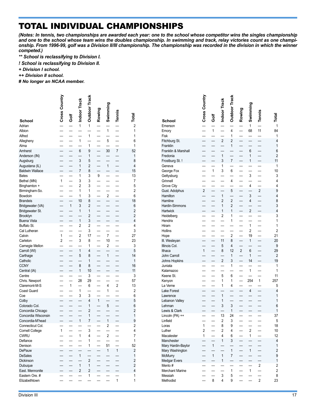# TOTAL INDIVIDUAL CHAMPIONSHIPS

*(Notes: In tennis, two championships are awarded each year: one to the school whose competitor wins the singles championship and one to the school whose team wins the doubles championship. In swimming and track, relay victories count as one championship. From 1996-99, golf was a Division II/III championship. The championship was recorded in the division in which the winner competed.)*

*\*\* School is reclassifying to Division I.*

*! School is reclassifying to Division II.*

*+ Division I school.*

*++ Division II school.*

*# No longer an NCAA member.*

|                                          | Cross Country  | Golf         | Indoor Track   | <b>Outdoor Track</b> | Rowing       | Swimming                | Tennis         | Total                   |
|------------------------------------------|----------------|--------------|----------------|----------------------|--------------|-------------------------|----------------|-------------------------|
| School                                   |                |              |                |                      |              |                         |                |                         |
| Adrian                                   |                |              | $\mathbf{1}$   | 1                    |              |                         |                | $\overline{2}$          |
| Albion                                   |                |              |                |                      |              | 1                       |                | 1                       |
| Alfred                                   |                |              |                | 1                    |              |                         |                | 1                       |
| Allegheny                                |                |              | 1              |                      |              | 5                       |                | 6                       |
| Alma                                     |                |              |                | 1                    |              |                         |                | 1                       |
| Amherst                                  |                |              | 6              | 9                    |              | 30                      | 7              | 52                      |
| Anderson (IN)                            |                |              | 3              | 1                    |              |                         |                | 1<br>8                  |
| Augsburg                                 |                |              | 1              | 5<br>$\overline{2}$  |              | 1                       |                | 4                       |
| Augustana (IL)<br><b>Baldwin Wallace</b> |                |              | 7              | 8                    |              |                         |                | 15                      |
| <b>Bates</b>                             |                |              | 1              | 3                    | 9            |                         |                | 13                      |
| Bethel (MN)                              | 1              |              | 3              | 3                    |              |                         |                | 7                       |
| Binghamton +                             |                |              | 2              | 3                    |              |                         |                | 5                       |
| Birmingham-So.                           |                |              | 1              | 1                    |              |                         |                | $\overline{2}$          |
| Bowdoin                                  |                |              | 1              | 3                    |              | $\overline{2}$          |                | 6                       |
| <b>Brandeis</b>                          |                |              | 10             | 8                    |              |                         |                | 18                      |
| Bridgewater (VA)                         |                | $\mathbf{1}$ | 3              | $\overline{2}$       |              |                         |                | 6                       |
| Bridgewater St.                          |                |              | 1              | 1                    |              |                         |                | $\overline{2}$          |
| Brooklyn                                 |                |              |                | 2                    |              |                         |                | $\overline{2}$          |
| <b>Buena Vista</b>                       |                |              | $\mathbf{1}$   | 3                    |              |                         |                | 4                       |
| Buffalo St.                              |                |              | 2              | 2                    |              |                         |                | 4                       |
| Cal Lutheran                             |                |              |                | 3                    |              |                         |                | 3                       |
| Calvin                                   | 1              |              | 2              | 17                   |              | 7                       |                | 27                      |
| Carleton                                 | $\overline{2}$ |              | 3              | 8                    |              | 10                      |                | 23                      |
| Carnegie Mellon                          |                |              |                | 1                    |              | 2                       |                | 3                       |
| Carroll (WI)                             |                |              | 1              | 4                    |              |                         |                | 5                       |
| Carthage                                 |                |              | 5              | 8                    |              | $\mathbf{1}$            |                | 14                      |
| Catholic                                 |                |              |                | 1                    |              |                         |                | 1                       |
| <b>CCNY</b>                              |                |              | 8              | 8                    |              |                         |                | 16                      |
| Central (IA)                             |                |              | 1              | 10                   |              |                         |                | 11                      |
| Centre                                   |                |              |                | 3                    |              |                         |                | 3                       |
| Chris. Newport<br>Claremont-M-S          |                | 1            | 28             | 29<br>6              |              | 4                       | $\overline{2}$ | 57<br>13                |
| Coast Guard                              |                |              | 1              |                      |              | 1                       |                | 2                       |
| Coe                                      |                |              | 3              | 3                    |              |                         |                | 6                       |
| Colby                                    |                |              |                | 4                    | $\mathbf{1}$ |                         |                | 5                       |
| Colorado Col.                            |                |              |                | 1                    |              | 5                       |                | 6                       |
| Concordia Chicago                        |                |              |                | $\overline{2}$       |              |                         |                | $\overline{2}$          |
| Concordia Wisconsin                      |                |              |                | 1                    |              |                         |                | 1                       |
| Concordia-M'head                         |                |              | 1              | 7                    |              | $\mathbf{1}$            |                | 9                       |
| Connecticut Col.                         |                |              |                |                      |              | $\overline{\mathbf{c}}$ |                | $\overline{2}$          |
| <b>Cornell College</b>                   | 1              |              |                | 3                    |              |                         |                | 4                       |
| <b>CWRU</b>                              |                |              | 1              | 4                    |              | 2                       |                | 7                       |
| Defiance                                 |                |              |                | 1                    |              |                         |                | 1                       |
| Denison                                  |                |              |                | 1                    |              | 51                      |                | 52                      |
| DePauw                                   |                |              |                |                      |              | 1                       | $\mathbf{1}$   | $\overline{\mathbf{c}}$ |
| <b>DeSales</b>                           |                |              | 1              |                      |              |                         |                | $\mathbf{1}$            |
| Dickinson                                |                |              |                | 2                    |              |                         |                | $\overline{c}$          |
| Dubuque                                  |                |              | 1              | 1                    |              |                         |                | $\overline{c}$          |
| East. Mennonite                          |                |              | $\overline{c}$ | 2                    |              |                         |                | 4                       |
| Eastern Ore. #                           |                |              |                | 1                    |              |                         |                | 1                       |
| Elizabethtown                            |                |              |                |                      |              |                         | 1              | 1                       |

|                                   | <b>Cross Country</b> |      | Indoor Track        | <b>Outdoor Track</b>         | Rowing | Swimming                | Tennis         |                               |
|-----------------------------------|----------------------|------|---------------------|------------------------------|--------|-------------------------|----------------|-------------------------------|
| School                            |                      | Golf |                     |                              |        |                         |                | Total                         |
| Emerson<br>Emory<br>Fisk          |                      | 1    |                     | 4<br>1                       |        | 1<br>68                 | 11             | $\mathbf{1}$<br>84<br>1       |
| Fitchburg St.                     |                      |      | 2                   | 2                            |        |                         |                | 4                             |
| Franklin                          |                      |      |                     | 1                            |        |                         |                | $\mathbf{1}$                  |
| Franklin & Marshall               |                      |      |                     |                              |        | 6                       |                | $6\phantom{a}$                |
| Fredonia<br>Frostburg St. !       |                      |      | 1<br>3              | $\overline{7}$               |        | 1<br>1                  |                | $\overline{2}$<br>11          |
| Geneva                            |                      |      | 1                   |                              |        |                         |                | 1                             |
| George Fox                        |                      | 1    | 3                   | 6                            |        |                         |                | 10                            |
| Gettysburg                        |                      |      |                     |                              |        | 3                       |                | 3                             |
| Grinnell                          |                      |      |                     | 4                            |        | 4                       |                | $\overline{4}$<br>4           |
| Grove City<br>Gust. Adolphus      | $\overline{2}$       |      |                     | 5                            |        |                         | $\overline{2}$ | 9                             |
| Hamilton                          |                      |      | 1                   |                              |        | 3                       |                | 4                             |
| Hamline                           |                      |      | $\overline{2}$      | $\overline{2}$               |        | 4                       |                | 8                             |
| Hardin-Simmons                    |                      |      | 1                   | 2                            |        |                         |                | 3<br>$\overline{4}$           |
| Hartwick<br>Heidelberg            |                      |      | 1<br>2              | 1<br>1                       |        | $\overline{\mathbf{c}}$ |                | 3                             |
| Hendrix                           |                      |      |                     | 1                            |        |                         |                | 1                             |
| Hiram                             |                      |      |                     |                              |        | 1                       |                | 1                             |
| Hollins                           |                      |      |                     |                              |        | 2                       |                | $\overline{2}$                |
| Hope<br>III. Wesleyan             |                      |      | 11                  | $\overline{\mathbf{c}}$<br>8 |        | 19<br>1                 |                | 21<br>20                      |
| Illinois Col.                     |                      |      | 5                   | 4                            |        |                         |                | 9                             |
| Ithaca                            | 1                    |      | 8                   | 12                           | 2      | 6                       |                | 29                            |
| John Carroll                      |                      |      |                     | 1                            |        | 1                       |                | $\overline{2}$                |
| Johns Hopkins                     |                      |      | 2                   | 3                            |        | 14                      |                | 19                            |
| Juniata<br>Kalamazoo              |                      |      |                     | 1                            |        | 1                       |                | 1<br>1                        |
| Keene St.                         |                      |      | 5                   | 6                            |        |                         |                | 11                            |
| Kenyon                            |                      |      | 1                   | 1                            |        | 254                     | 1              | 257                           |
| La Verne                          |                      |      | 1                   | 4                            |        |                         |                | 5                             |
| Lake Forest                       |                      |      | 1                   |                              |        | 4                       |                | $\overline{\mathcal{L}}$<br>1 |
| Lawrence<br>Lebanon Valley        |                      |      | 1                   |                              |        |                         |                | $\mathbf{1}$                  |
| Lehman                            |                      |      | 3                   | 3                            |        |                         |                | $6\phantom{a}$                |
| Lewis & Clark                     |                      |      |                     | 1                            |        |                         |                | $\mathbf{1}$                  |
| Lincoln (PA) ++                   |                      |      | 13                  | 24                           |        |                         |                | 37                            |
| Linfield<br>Loras                 | $\mathbf{1}$         |      | $\overline{2}$<br>8 | 3<br>9                       | —      |                         |                | 5<br>18                       |
| Luther                            | 2                    |      | 2                   | 4                            |        | $\overline{\mathbf{c}}$ |                | 10                            |
| Macalester                        | 1                    |      | 4                   | 6                            |        | 1                       |                | 12                            |
| Manchester                        |                      |      | 1                   | 3                            |        |                         |                | 4                             |
| Mary Hardin-Baylor                |                      | 1    |                     | 1                            |        | 1                       |                | 1<br>$\overline{c}$           |
| Mary Washington<br><b>McMurry</b> |                      | 1    | 1                   | 7                            |        |                         |                | 9                             |
| Medgar Evers                      |                      |      | 1                   |                              |        |                         |                | $\mathbf{1}$                  |
| Menlo#                            |                      |      |                     |                              |        |                         | 2              | $\overline{\mathbf{c}}$       |
| Merchant Marine                   |                      |      |                     | 1                            |        | 1                       |                | $\overline{\mathbf{c}}$       |
| Messiah<br>Methodist              |                      | 8    | 3<br>4              | 5<br>9                       |        |                         | $\overline{2}$ | 8<br>23                       |
|                                   |                      |      |                     |                              |        |                         |                |                               |